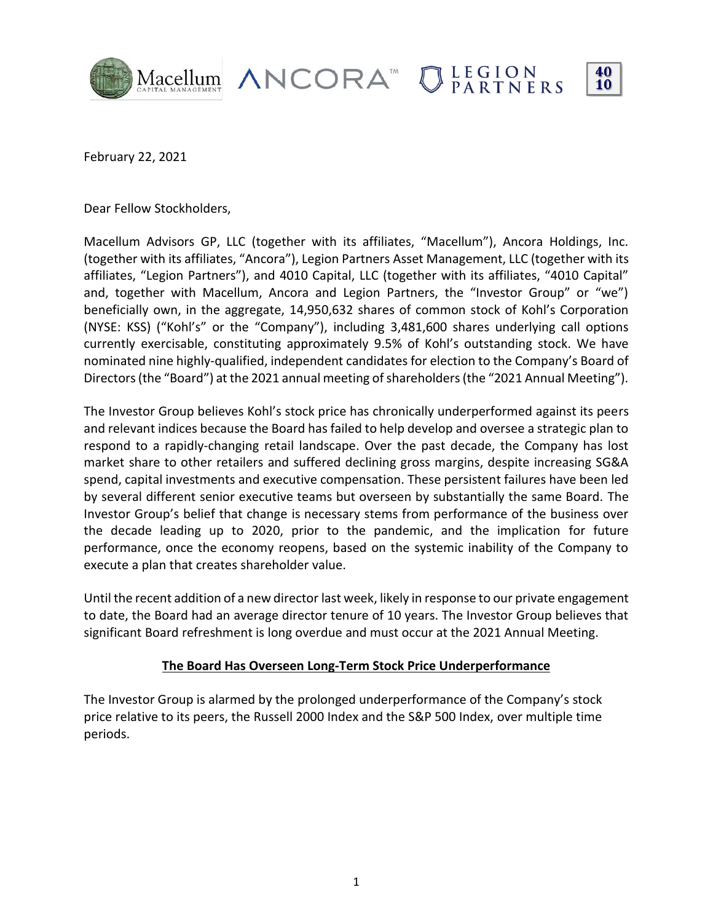

February 22, 2021, 2021

Dear Fellow Stockholders,

Macellum Advisors GP, LLC (together with its affiliates, "Macellum"), Ancora Holdings, Inc. (together with its affiliates, "Ancora"), Legion Partners Asset Management, LLC (together with its affiliates, "Legion Partners"), and 4010 Capital, LLC (together with its affiliates, "4010 Capital" and, together with Macellum, Ancora and Legion Partners, the "Investor Group" or "we") beneficially own, in the aggregate, 14,950,632 shares of common stock of Kohl's Corporation (NYSE: KSS) ("Kohl's" or the "Company"), including 3,481,600 shares underlying call options currently exercisable, constituting approximately 9.5% of Kohl's outstanding stock. We have nominated nine highly-qualified, independent candidates for election to the Company's Board of Directors (the "Board") at the 2021 annual meeting of shareholders (the "2021 Annual Meeting").

The Investor Group believes Kohl's stock price has chronically underperformed against its peers and relevant indices because the Board has failed to help develop and oversee a strategic plan to respond to a rapidly-changing retail landscape. Over the past decade, the Company has lost market share to other retailers and suffered declining gross margins, despite increasing SG&A spend, capital investments and executive compensation. These persistent failures have been led by several different senior executive teams but overseen by substantially the same Board. The Investor Group's belief that change is necessary stems from performance of the business over the decade leading up to 2020, prior to the pandemic, and the implication for future performance, once the economy reopens, based on the systemic inability of the Company to execute a plan that creates shareholder value.

Until the recent addition of a new director last week, likely in response to our private engagement to date, the Board had an average director tenure of 10 years. The Investor Group believes that significant Board refreshment is long overdue and must occur at the 2021 Annual Meeting.

#### **The Board Has Overseen Long-Term Stock Price Underperformance**

The Investor Group is alarmed by the prolonged underperformance of the Company's stock price relative to its peers, the Russell 2000 Index and the S&P 500 Index, over multiple time periods.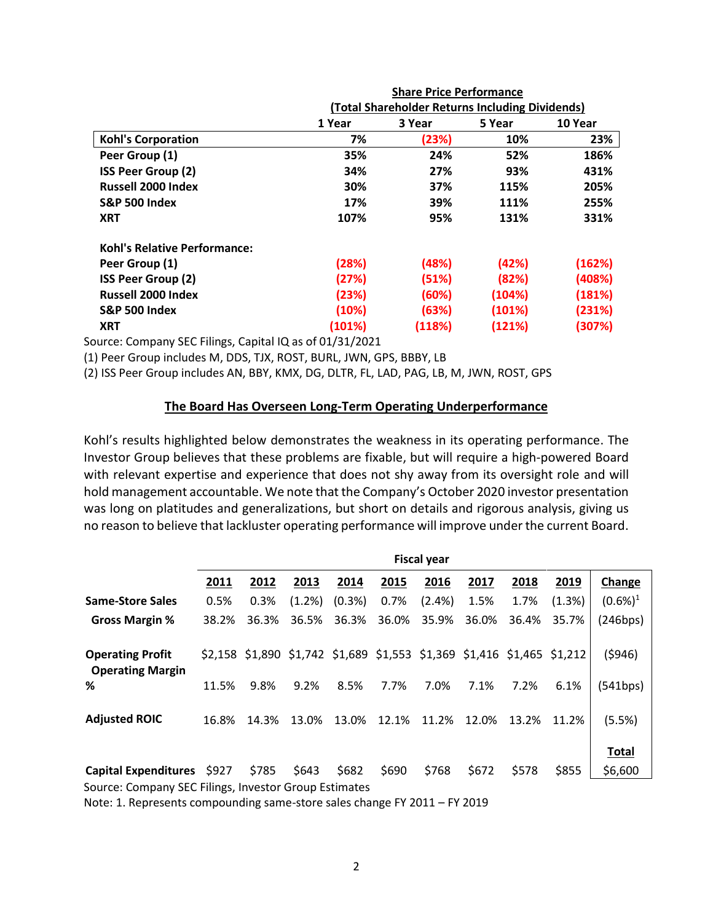|                                     | <b>Share Price Performance</b>                  |        |        |         |  |  |  |
|-------------------------------------|-------------------------------------------------|--------|--------|---------|--|--|--|
|                                     | (Total Shareholder Returns Including Dividends) |        |        |         |  |  |  |
|                                     | 1 Year                                          | 3 Year | 5 Year | 10 Year |  |  |  |
| <b>Kohl's Corporation</b>           | 7%                                              | (23%)  | 10%    | 23%     |  |  |  |
| Peer Group (1)                      | 35%                                             | 24%    | 52%    | 186%    |  |  |  |
| <b>ISS Peer Group (2)</b>           | 34%                                             | 27%    | 93%    | 431%    |  |  |  |
| <b>Russell 2000 Index</b>           | 30%                                             | 37%    | 115%   | 205%    |  |  |  |
| <b>S&amp;P 500 Index</b>            | 17%                                             | 39%    | 111%   | 255%    |  |  |  |
| <b>XRT</b>                          | 107%                                            | 95%    | 131%   | 331%    |  |  |  |
| <b>Kohl's Relative Performance:</b> |                                                 |        |        |         |  |  |  |
| Peer Group (1)                      | (28%)                                           | (48%)  | (42%)  | (162%)  |  |  |  |
| <b>ISS Peer Group (2)</b>           | (27%)                                           | (51%)  | (82%)  | (408%)  |  |  |  |
| <b>Russell 2000 Index</b>           | (23%)                                           | (60%)  | (104%) | (181%)  |  |  |  |
| <b>S&amp;P 500 Index</b>            | (10%)                                           | (63%)  | (101%) | (231%)  |  |  |  |
| <b>XRT</b>                          | (101%)                                          | (118%) | (121%) | (307%)  |  |  |  |

Source: Company SEC Filings, Capital IQ as of 01/31/2021

(1) Peer Group includes M, DDS, TJX, ROST, BURL, JWN, GPS, BBBY, LB

(2) ISS Peer Group includes AN, BBY, KMX, DG, DLTR, FL, LAD, PAG, LB, M, JWN, ROST, GPS

#### **The Board Has Overseen Long-Term Operating Underperformance**

Kohl's results highlighted below demonstrates the weakness in its operating performance. The Investor Group believes that these problems are fixable, but will require a high-powered Board with relevant expertise and experience that does not shy away from its oversight role and will hold management accountable. We note that the Company's October 2020 investor presentation was long on platitudes and generalizations, but short on details and rigorous analysis, giving us no reason to believe that lackluster operating performance will improve under the current Board.

|                                                                                                                                   | <b>Fiscal year</b> |       |        |           |                                                                         |           |       |       |        |              |
|-----------------------------------------------------------------------------------------------------------------------------------|--------------------|-------|--------|-----------|-------------------------------------------------------------------------|-----------|-------|-------|--------|--------------|
|                                                                                                                                   | 2011               | 2012  | 2013   | 2014      | 2015                                                                    | 2016      | 2017  | 2018  | 2019   | Change       |
| <b>Same-Store Sales</b>                                                                                                           | 0.5%               | 0.3%  | (1.2%) | $(0.3\%)$ | 0.7%                                                                    | $(2.4\%)$ | 1.5%  | 1.7%  | (1.3%) | $(0.6\%)^1$  |
| <b>Gross Margin %</b>                                                                                                             | 38.2%              | 36.3% | 36.5%  | 36.3%     | 36.0%                                                                   | 35.9%     | 36.0% | 36.4% | 35.7%  | (246bps)     |
| <b>Operating Profit</b><br><b>Operating Margin</b>                                                                                |                    |       |        |           | \$2,158 \$1,890 \$1,742 \$1,689 \$1,553 \$1,369 \$1,416 \$1,465 \$1,212 |           |       |       |        | (5946)       |
| ℅                                                                                                                                 | 11.5%              | 9.8%  | 9.2%   | 8.5%      | 7.7%                                                                    | 7.0%      | 7.1%  | 7.2%  | 6.1%   | (541bps)     |
| <b>Adjusted ROIC</b>                                                                                                              | 16.8%              | 14.3% | 13.0%  | 13.0%     | 12.1%                                                                   | 11.2%     | 12.0% | 13.2% | 11.2%  | (5.5%)       |
|                                                                                                                                   |                    |       |        |           |                                                                         |           |       |       |        | <b>Total</b> |
| Capital Expenditures \$927                                                                                                        |                    | \$785 | \$643  | \$682     | \$690                                                                   | \$768     | \$672 | \$578 | \$855  | \$6,600      |
| Source: Company SEC Filings, Investor Group Estimates<br>Alata: 4. Danisara da agusta ann dheacana a chana aglas shanaca EV 9044. |                    |       |        |           |                                                                         |           |       |       |        |              |

Note: 1. Represents compounding same-store sales change FY 2011 – FY 2019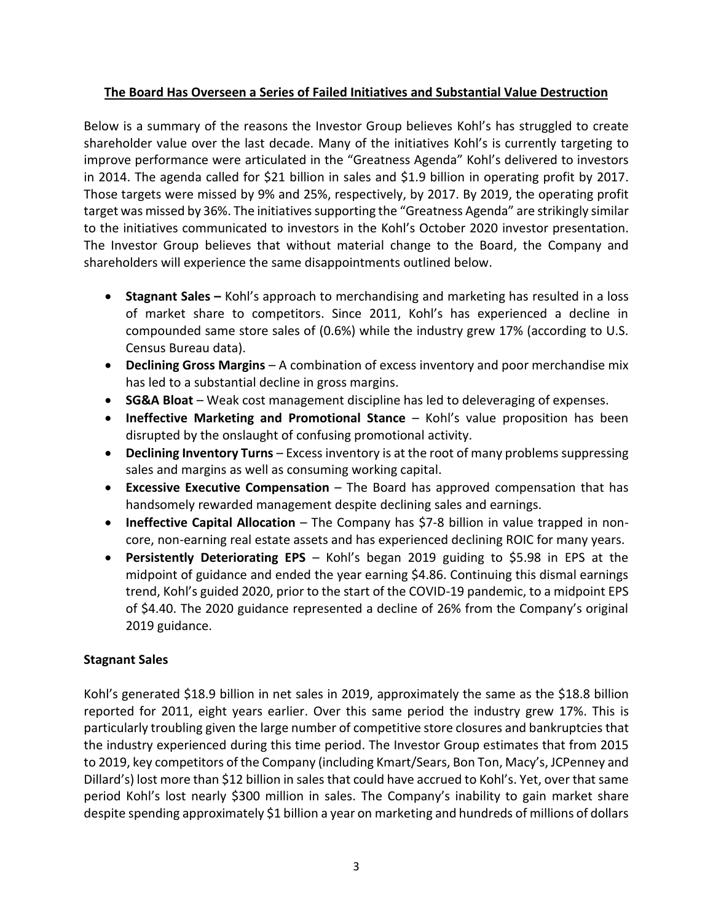## **The Board Has Overseen a Series of Failed Initiatives and Substantial Value Destruction**

Below is a summary of the reasons the Investor Group believes Kohl's has struggled to create shareholder value over the last decade. Many of the initiatives Kohl's is currently targeting to improve performance were articulated in the "Greatness Agenda" Kohl's delivered to investors in 2014. The agenda called for \$21 billion in sales and \$1.9 billion in operating profit by 2017. Those targets were missed by 9% and 25%, respectively, by 2017. By 2019, the operating profit target was missed by 36%. The initiatives supporting the "Greatness Agenda" are strikingly similar to the initiatives communicated to investors in the Kohl's October 2020 investor presentation. The Investor Group believes that without material change to the Board, the Company and shareholders will experience the same disappointments outlined below.

- **Stagnant Sales –** Kohl's approach to merchandising and marketing has resulted in a loss of market share to competitors. Since 2011, Kohl's has experienced a decline in compounded same store sales of (0.6%) while the industry grew 17% (according to U.S. Census Bureau data).
- **Declining Gross Margins** A combination of excess inventory and poor merchandise mix has led to a substantial decline in gross margins.
- **SG&A Bloat** Weak cost management discipline has led to deleveraging of expenses.
- **Ineffective Marketing and Promotional Stance**  Kohl's value proposition has been disrupted by the onslaught of confusing promotional activity.
- **Declining Inventory Turns** Excess inventory is at the root of many problems suppressing sales and margins as well as consuming working capital.
- **Excessive Executive Compensation**  The Board has approved compensation that has handsomely rewarded management despite declining sales and earnings.
- **Ineffective Capital Allocation**  The Company has \$7-8 billion in value trapped in noncore, non-earning real estate assets and has experienced declining ROIC for many years.
- **Persistently Deteriorating EPS**  Kohl's began 2019 guiding to \$5.98 in EPS at the midpoint of guidance and ended the year earning \$4.86. Continuing this dismal earnings trend, Kohl's guided 2020, prior to the start of the COVID-19 pandemic, to a midpoint EPS of \$4.40. The 2020 guidance represented a decline of 26% from the Company's original 2019 guidance.

# **Stagnant Sales**

Kohl's generated \$18.9 billion in net sales in 2019, approximately the same as the \$18.8 billion reported for 2011, eight years earlier. Over this same period the industry grew 17%. This is particularly troubling given the large number of competitive store closures and bankruptcies that the industry experienced during this time period. The Investor Group estimates that from 2015 to 2019, key competitors of the Company (including Kmart/Sears, Bon Ton, Macy's, JCPenney and Dillard's) lost more than \$12 billion in sales that could have accrued to Kohl's. Yet, over that same period Kohl's lost nearly \$300 million in sales. The Company's inability to gain market share despite spending approximately \$1 billion a year on marketing and hundreds of millions of dollars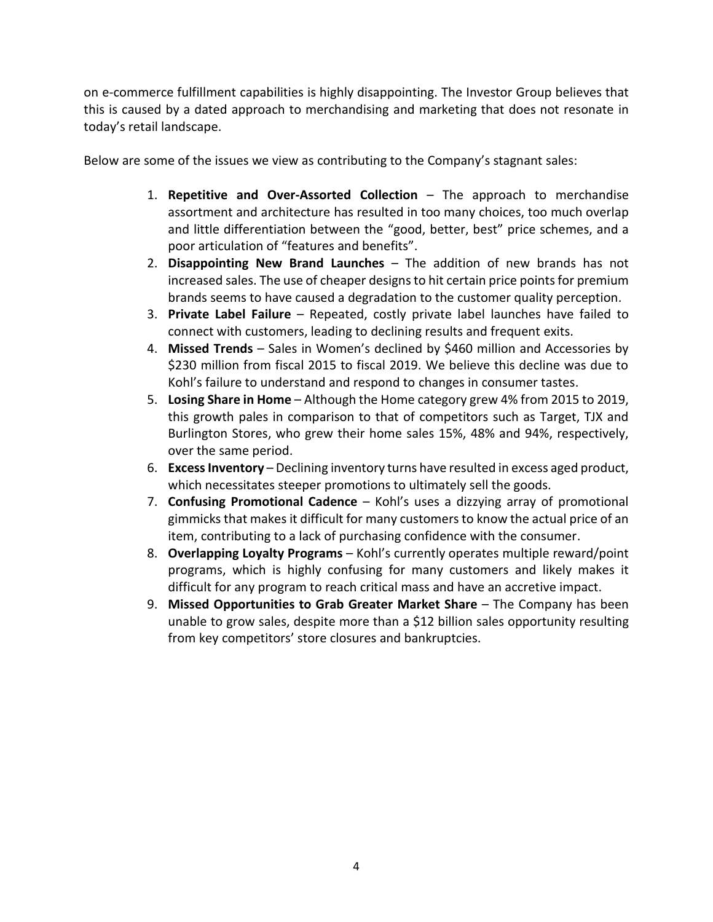on e-commerce fulfillment capabilities is highly disappointing. The Investor Group believes that this is caused by a dated approach to merchandising and marketing that does not resonate in today's retail landscape.

Below are some of the issues we view as contributing to the Company's stagnant sales:

- 1. **Repetitive and Over-Assorted Collection**  The approach to merchandise assortment and architecture has resulted in too many choices, too much overlap and little differentiation between the "good, better, best" price schemes, and a poor articulation of "features and benefits".
- 2. **Disappointing New Brand Launches** The addition of new brands has not increased sales. The use of cheaper designs to hit certain price pointsfor premium brands seems to have caused a degradation to the customer quality perception.
- 3. **Private Label Failure** Repeated, costly private label launches have failed to connect with customers, leading to declining results and frequent exits.
- 4. **Missed Trends** Sales in Women's declined by \$460 million and Accessories by \$230 million from fiscal 2015 to fiscal 2019. We believe this decline was due to Kohl's failure to understand and respond to changes in consumer tastes.
- 5. **Losing Share in Home** Although the Home category grew 4% from 2015 to 2019, this growth pales in comparison to that of competitors such as Target, TJX and Burlington Stores, who grew their home sales 15%, 48% and 94%, respectively, over the same period.
- 6. **Excess Inventory** Declining inventory turns have resulted in excess aged product, which necessitates steeper promotions to ultimately sell the goods.
- 7. **Confusing Promotional Cadence** Kohl's uses a dizzying array of promotional gimmicks that makes it difficult for many customers to know the actual price of an item, contributing to a lack of purchasing confidence with the consumer.
- 8. **Overlapping Loyalty Programs** Kohl's currently operates multiple reward/point programs, which is highly confusing for many customers and likely makes it difficult for any program to reach critical mass and have an accretive impact.
- 9. **Missed Opportunities to Grab Greater Market Share** The Company has been unable to grow sales, despite more than a \$12 billion sales opportunity resulting from key competitors' store closures and bankruptcies.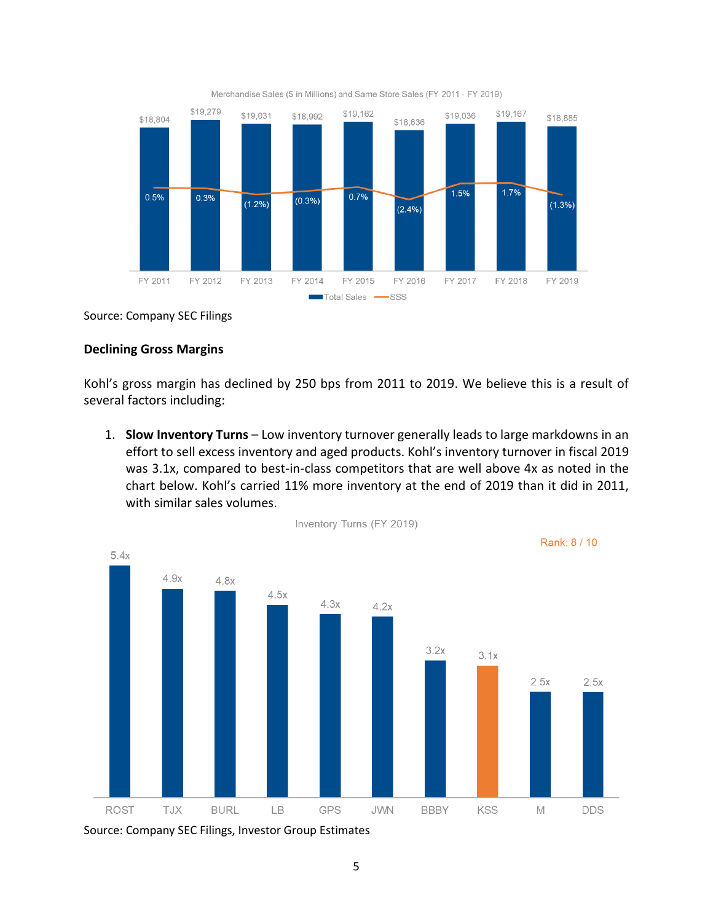

Merchandise Sales (\$ in Millions) and Same Store Sales (FY 2011 - FY 2019)

Source: Company SEC Filings

#### **Declining Gross Margins**

Kohl's gross margin has declined by 250 bps from 2011 to 2019. We believe this is a result of several factors including:

1. **Slow Inventory Turns** – Low inventory turnover generally leads to large markdowns in an effort to sell excess inventory and aged products. Kohl's inventory turnover in fiscal 2019 was 3.1x, compared to best-in-class competitors that are well above 4x as noted in the chart below. Kohl's carried 11% more inventory at the end of 2019 than it did in 2011, with similar sales volumes.



Source: Company SEC Filings, Investor Group Estimates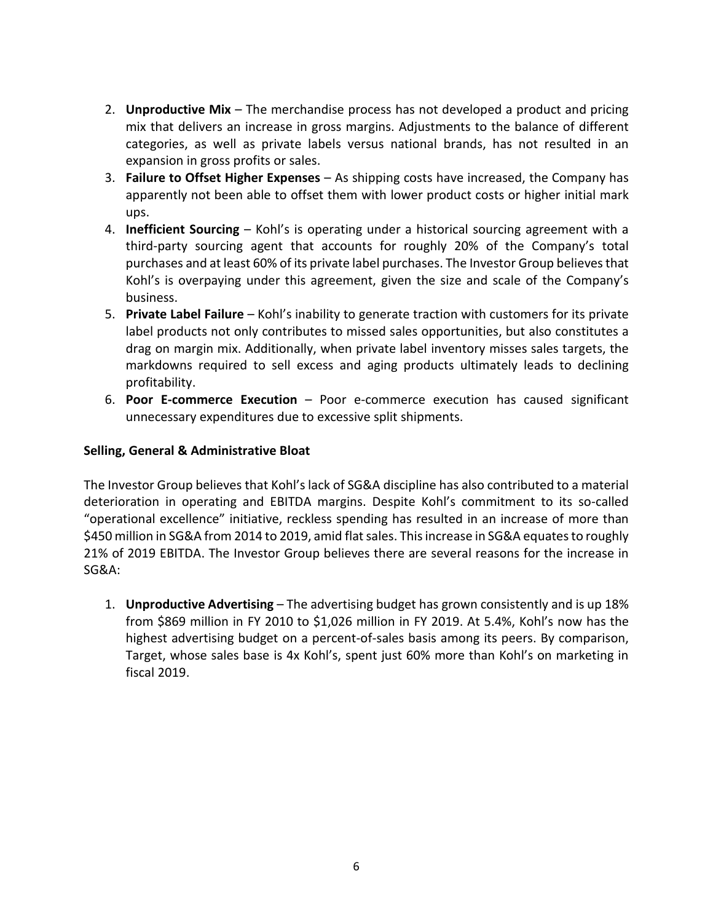- 2. **Unproductive Mix** The merchandise process has not developed a product and pricing mix that delivers an increase in gross margins. Adjustments to the balance of different categories, as well as private labels versus national brands, has not resulted in an expansion in gross profits or sales.
- 3. **Failure to Offset Higher Expenses** As shipping costs have increased, the Company has apparently not been able to offset them with lower product costs or higher initial mark ups.
- 4. **Inefficient Sourcing** Kohl's is operating under a historical sourcing agreement with a third-party sourcing agent that accounts for roughly 20% of the Company's total purchases and at least 60% of its private label purchases. The Investor Group believesthat Kohl's is overpaying under this agreement, given the size and scale of the Company's business.
- 5. **Private Label Failure**  Kohl's inability to generate traction with customers for its private label products not only contributes to missed sales opportunities, but also constitutes a drag on margin mix. Additionally, when private label inventory misses sales targets, the markdowns required to sell excess and aging products ultimately leads to declining profitability.
- 6. **Poor E-commerce Execution** Poor e-commerce execution has caused significant unnecessary expenditures due to excessive split shipments.

## **Selling, General & Administrative Bloat**

The Investor Group believes that Kohl's lack of SG&A discipline has also contributed to a material deterioration in operating and EBITDA margins. Despite Kohl's commitment to its so-called "operational excellence" initiative, reckless spending has resulted in an increase of more than \$450 million in SG&A from 2014 to 2019, amid flat sales. This increase in SG&A equates to roughly 21% of 2019 EBITDA. The Investor Group believes there are several reasons for the increase in SG&A:

1. **Unproductive Advertising** – The advertising budget has grown consistently and is up 18% from \$869 million in FY 2010 to \$1,026 million in FY 2019. At 5.4%, Kohl's now has the highest advertising budget on a percent-of-sales basis among its peers. By comparison, Target, whose sales base is 4x Kohl's, spent just 60% more than Kohl's on marketing in fiscal 2019.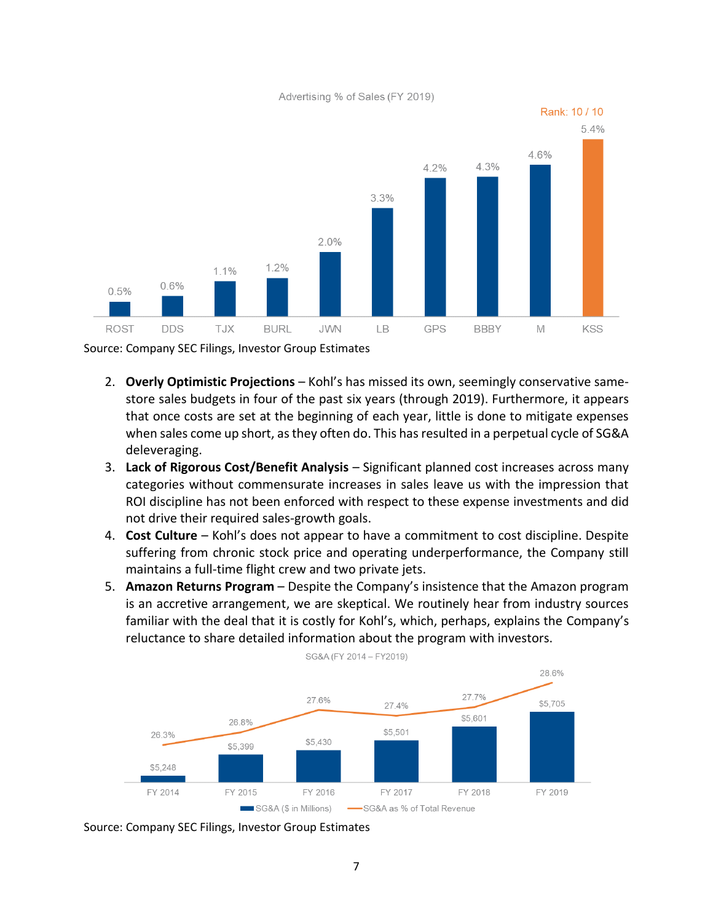Advertising % of Sales (FY 2019)



Source: Company SEC Filings, Investor Group Estimates

- 2. **Overly Optimistic Projections** Kohl's has missed its own, seemingly conservative samestore sales budgets in four of the past six years (through 2019). Furthermore, it appears that once costs are set at the beginning of each year, little is done to mitigate expenses when sales come up short, as they often do. This has resulted in a perpetual cycle of SG&A deleveraging.
- 3. **Lack of Rigorous Cost/Benefit Analysis**  Significant planned cost increases across many categories without commensurate increases in sales leave us with the impression that ROI discipline has not been enforced with respect to these expense investments and did not drive their required sales-growth goals.
- 4. **Cost Culture** Kohl's does not appear to have a commitment to cost discipline. Despite suffering from chronic stock price and operating underperformance, the Company still maintains a full-time flight crew and two private jets.
- 5. **Amazon Returns Program** Despite the Company's insistence that the Amazon program is an accretive arrangement, we are skeptical. We routinely hear from industry sources familiar with the deal that it is costly for Kohl's, which, perhaps, explains the Company's reluctance to share detailed information about the program with investors.



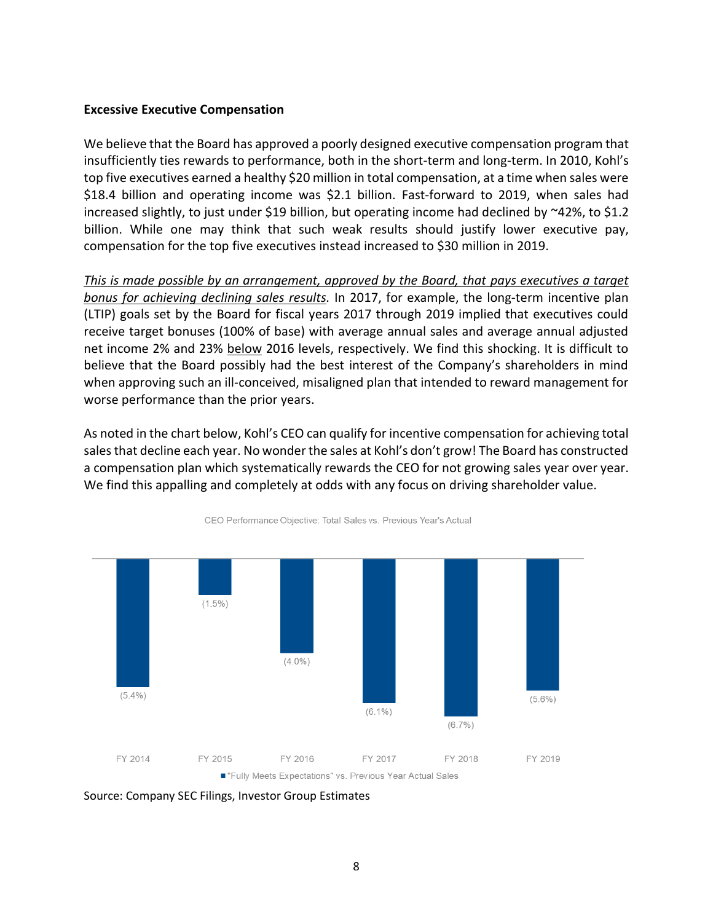#### **Excessive Executive Compensation**

We believe that the Board has approved a poorly designed executive compensation program that insufficiently ties rewards to performance, both in the short-term and long-term. In 2010, Kohl's top five executives earned a healthy \$20 million in total compensation, at a time when sales were \$18.4 billion and operating income was \$2.1 billion. Fast-forward to 2019, when sales had increased slightly, to just under \$19 billion, but operating income had declined by  $\approx$ 42%, to \$1.2 billion. While one may think that such weak results should justify lower executive pay, compensation for the top five executives instead increased to \$30 million in 2019.

*This is made possible by an arrangement, approved by the Board, that pays executives a target bonus for achieving declining sales results.* In 2017, for example, the long-term incentive plan (LTIP) goals set by the Board for fiscal years 2017 through 2019 implied that executives could receive target bonuses (100% of base) with average annual sales and average annual adjusted net income 2% and 23% below 2016 levels, respectively. We find this shocking. It is difficult to believe that the Board possibly had the best interest of the Company's shareholders in mind when approving such an ill-conceived, misaligned plan that intended to reward management for worse performance than the prior years.

As noted in the chart below, Kohl's CEO can qualify for incentive compensation for achieving total sales that decline each year. No wonder the sales at Kohl's don't grow! The Board has constructed a compensation plan which systematically rewards the CEO for not growing sales year over year. We find this appalling and completely at odds with any focus on driving shareholder value.



CEO Performance Objective: Total Sales vs. Previous Year's Actual

Source: Company SEC Filings, Investor Group Estimates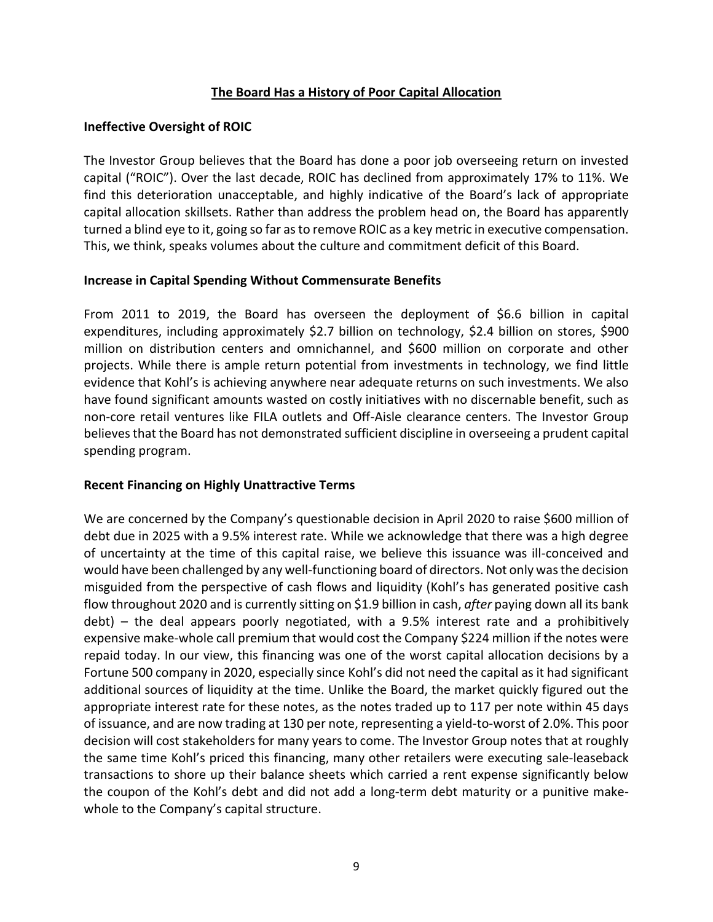### **The Board Has a History of Poor Capital Allocation**

### **Ineffective Oversight of ROIC**

The Investor Group believes that the Board has done a poor job overseeing return on invested capital ("ROIC"). Over the last decade, ROIC has declined from approximately 17% to 11%. We find this deterioration unacceptable, and highly indicative of the Board's lack of appropriate capital allocation skillsets. Rather than address the problem head on, the Board has apparently turned a blind eye to it, going so far as to remove ROIC as a key metric in executive compensation. This, we think, speaks volumes about the culture and commitment deficit of this Board.

#### **Increase in Capital Spending Without Commensurate Benefits**

From 2011 to 2019, the Board has overseen the deployment of \$6.6 billion in capital expenditures, including approximately \$2.7 billion on technology, \$2.4 billion on stores, \$900 million on distribution centers and omnichannel, and \$600 million on corporate and other projects. While there is ample return potential from investments in technology, we find little evidence that Kohl's is achieving anywhere near adequate returns on such investments. We also have found significant amounts wasted on costly initiatives with no discernable benefit, such as non-core retail ventures like FILA outlets and Off-Aisle clearance centers. The Investor Group believes that the Board has not demonstrated sufficient discipline in overseeing a prudent capital spending program.

## **Recent Financing on Highly Unattractive Terms**

We are concerned by the Company's questionable decision in April 2020 to raise \$600 million of debt due in 2025 with a 9.5% interest rate. While we acknowledge that there was a high degree of uncertainty at the time of this capital raise, we believe this issuance was ill-conceived and would have been challenged by any well-functioning board of directors. Not only was the decision misguided from the perspective of cash flows and liquidity (Kohl's has generated positive cash flow throughout 2020 and is currently sitting on \$1.9 billion in cash, *after* paying down all its bank debt) – the deal appears poorly negotiated, with a 9.5% interest rate and a prohibitively expensive make-whole call premium that would cost the Company \$224 million if the notes were repaid today. In our view, this financing was one of the worst capital allocation decisions by a Fortune 500 company in 2020, especially since Kohl's did not need the capital as it had significant additional sources of liquidity at the time. Unlike the Board, the market quickly figured out the appropriate interest rate for these notes, as the notes traded up to 117 per note within 45 days of issuance, and are now trading at 130 per note, representing a yield-to-worst of 2.0%. This poor decision will cost stakeholders for many years to come. The Investor Group notes that at roughly the same time Kohl's priced this financing, many other retailers were executing sale-leaseback transactions to shore up their balance sheets which carried a rent expense significantly below the coupon of the Kohl's debt and did not add a long-term debt maturity or a punitive makewhole to the Company's capital structure.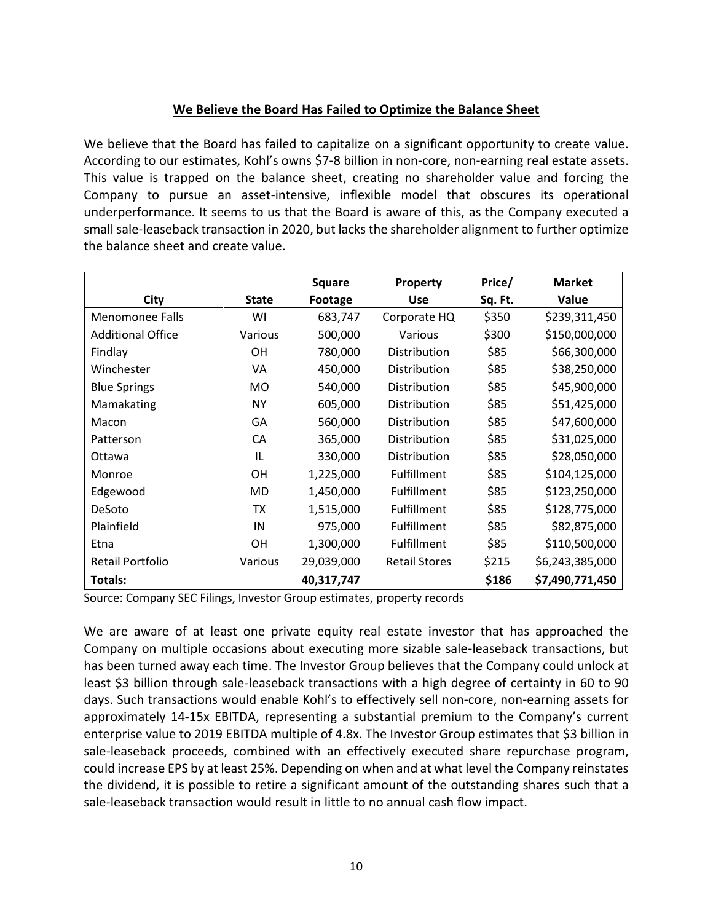## **We Believe the Board Has Failed to Optimize the Balance Sheet**

We believe that the Board has failed to capitalize on a significant opportunity to create value. According to our estimates, Kohl's owns \$7-8 billion in non-core, non-earning real estate assets. This value is trapped on the balance sheet, creating no shareholder value and forcing the Company to pursue an asset-intensive, inflexible model that obscures its operational underperformance. It seems to us that the Board is aware of this, as the Company executed a small sale-leaseback transaction in 2020, but lacks the shareholder alignment to further optimize the balance sheet and create value.

|                          |              | <b>Square</b> | Property             | Price/  | <b>Market</b>   |
|--------------------------|--------------|---------------|----------------------|---------|-----------------|
| City                     | <b>State</b> | Footage       | <b>Use</b>           | Sq. Ft. | Value           |
| <b>Menomonee Falls</b>   | WI           | 683,747       | Corporate HQ         | \$350   | \$239,311,450   |
| <b>Additional Office</b> | Various      | 500,000       | Various              | \$300   | \$150,000,000   |
| Findlay                  | OН           | 780,000       | Distribution         | \$85    | \$66,300,000    |
| Winchester               | VA           | 450,000       | Distribution         | \$85    | \$38,250,000    |
| <b>Blue Springs</b>      | MO           | 540,000       | <b>Distribution</b>  | \$85    | \$45,900,000    |
| Mamakating               | <b>NY</b>    | 605,000       | Distribution         | \$85    | \$51,425,000    |
| Macon                    | GА           | 560,000       | <b>Distribution</b>  | \$85    | \$47,600,000    |
| Patterson                | CA           | 365,000       | <b>Distribution</b>  | \$85    | \$31,025,000    |
| Ottawa                   | IL           | 330,000       | Distribution         | \$85    | \$28,050,000    |
| Monroe                   | OН           | 1,225,000     | <b>Fulfillment</b>   | \$85    | \$104,125,000   |
| Edgewood                 | MD           | 1,450,000     | <b>Fulfillment</b>   | \$85    | \$123,250,000   |
| DeSoto                   | ТX           | 1,515,000     | <b>Fulfillment</b>   | \$85    | \$128,775,000   |
| Plainfield               | IN           | 975,000       | <b>Fulfillment</b>   | \$85    | \$82,875,000    |
| Etna                     | <b>OH</b>    | 1,300,000     | <b>Fulfillment</b>   | \$85    | \$110,500,000   |
| Retail Portfolio         | Various      | 29,039,000    | <b>Retail Stores</b> | \$215   | \$6,243,385,000 |
| Totals:                  |              | 40,317,747    |                      | \$186   | \$7,490,771,450 |

Source: Company SEC Filings, Investor Group estimates, property records

We are aware of at least one private equity real estate investor that has approached the Company on multiple occasions about executing more sizable sale-leaseback transactions, but has been turned away each time. The Investor Group believes that the Company could unlock at least \$3 billion through sale-leaseback transactions with a high degree of certainty in 60 to 90 days. Such transactions would enable Kohl's to effectively sell non-core, non-earning assets for approximately 14-15x EBITDA, representing a substantial premium to the Company's current enterprise value to 2019 EBITDA multiple of 4.8x. The Investor Group estimates that \$3 billion in sale-leaseback proceeds, combined with an effectively executed share repurchase program, could increase EPS by at least 25%. Depending on when and at what level the Company reinstates the dividend, it is possible to retire a significant amount of the outstanding shares such that a sale-leaseback transaction would result in little to no annual cash flow impact.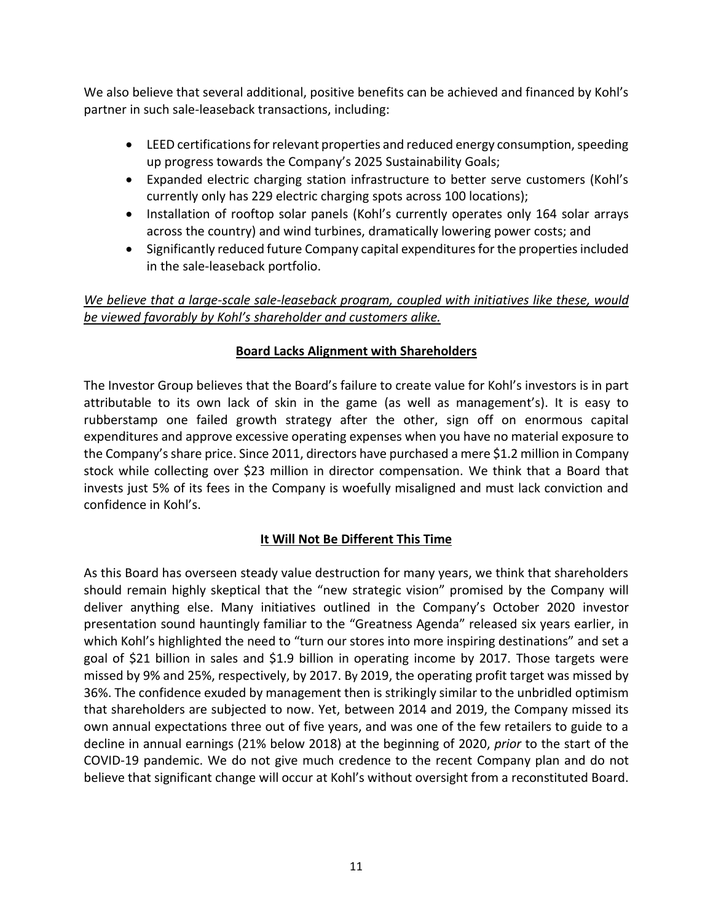We also believe that several additional, positive benefits can be achieved and financed by Kohl's partner in such sale-leaseback transactions, including:

- LEED certifications for relevant properties and reduced energy consumption, speeding up progress towards the Company's 2025 Sustainability Goals;
- Expanded electric charging station infrastructure to better serve customers (Kohl's currently only has 229 electric charging spots across 100 locations);
- Installation of rooftop solar panels (Kohl's currently operates only 164 solar arrays across the country) and wind turbines, dramatically lowering power costs; and
- Significantly reduced future Company capital expenditures for the properties included in the sale-leaseback portfolio.

## *We believe that a large-scale sale-leaseback program, coupled with initiatives like these, would be viewed favorably by Kohl's shareholder and customers alike.*

# **Board Lacks Alignment with Shareholders**

The Investor Group believes that the Board's failure to create value for Kohl's investors is in part attributable to its own lack of skin in the game (as well as management's). It is easy to rubberstamp one failed growth strategy after the other, sign off on enormous capital expenditures and approve excessive operating expenses when you have no material exposure to the Company's share price. Since 2011, directors have purchased a mere \$1.2 million in Company stock while collecting over \$23 million in director compensation. We think that a Board that invests just 5% of its fees in the Company is woefully misaligned and must lack conviction and confidence in Kohl's.

# **It Will Not Be Different This Time**

As this Board has overseen steady value destruction for many years, we think that shareholders should remain highly skeptical that the "new strategic vision" promised by the Company will deliver anything else. Many initiatives outlined in the Company's October 2020 investor presentation sound hauntingly familiar to the "Greatness Agenda" released six years earlier, in which Kohl's highlighted the need to "turn our stores into more inspiring destinations" and set a goal of \$21 billion in sales and \$1.9 billion in operating income by 2017. Those targets were missed by 9% and 25%, respectively, by 2017. By 2019, the operating profit target was missed by 36%. The confidence exuded by management then is strikingly similar to the unbridled optimism that shareholders are subjected to now. Yet, between 2014 and 2019, the Company missed its own annual expectations three out of five years, and was one of the few retailers to guide to a decline in annual earnings (21% below 2018) at the beginning of 2020, *prior* to the start of the COVID-19 pandemic. We do not give much credence to the recent Company plan and do not believe that significant change will occur at Kohl's without oversight from a reconstituted Board.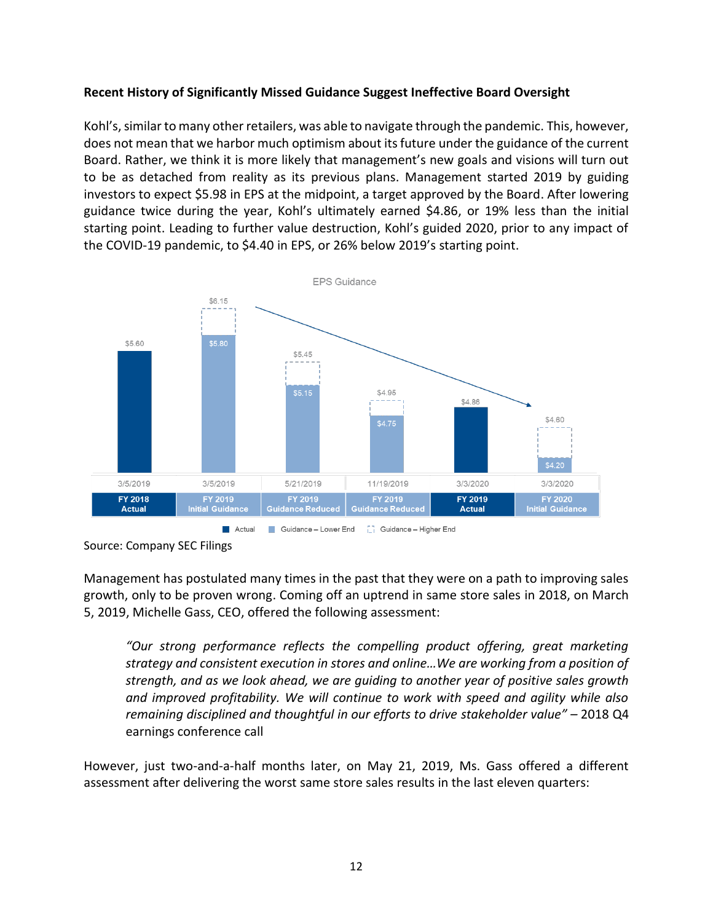### **Recent History of Significantly Missed Guidance Suggest Ineffective Board Oversight**

Kohl's, similar to many other retailers, was able to navigate through the pandemic. This, however, does not mean that we harbor much optimism about its future under the guidance of the current Board. Rather, we think it is more likely that management's new goals and visions will turn out to be as detached from reality as its previous plans. Management started 2019 by guiding investors to expect \$5.98 in EPS at the midpoint, a target approved by the Board. After lowering guidance twice during the year, Kohl's ultimately earned \$4.86, or 19% less than the initial starting point. Leading to further value destruction, Kohl's guided 2020, prior to any impact of the COVID-19 pandemic, to \$4.40 in EPS, or 26% below 2019's starting point.



Source: Company SEC Filings

Management has postulated many times in the past that they were on a path to improving sales growth, only to be proven wrong. Coming off an uptrend in same store sales in 2018, on March 5, 2019, Michelle Gass, CEO, offered the following assessment:

*"Our strong performance reflects the compelling product offering, great marketing strategy and consistent execution in stores and online…We are working from a position of strength, and as we look ahead, we are guiding to another year of positive sales growth and improved profitability. We will continue to work with speed and agility while also remaining disciplined and thoughtful in our efforts to drive stakeholder value" –* 2018 Q4 earnings conference call

However, just two-and-a-half months later, on May 21, 2019, Ms. Gass offered a different assessment after delivering the worst same store sales results in the last eleven quarters: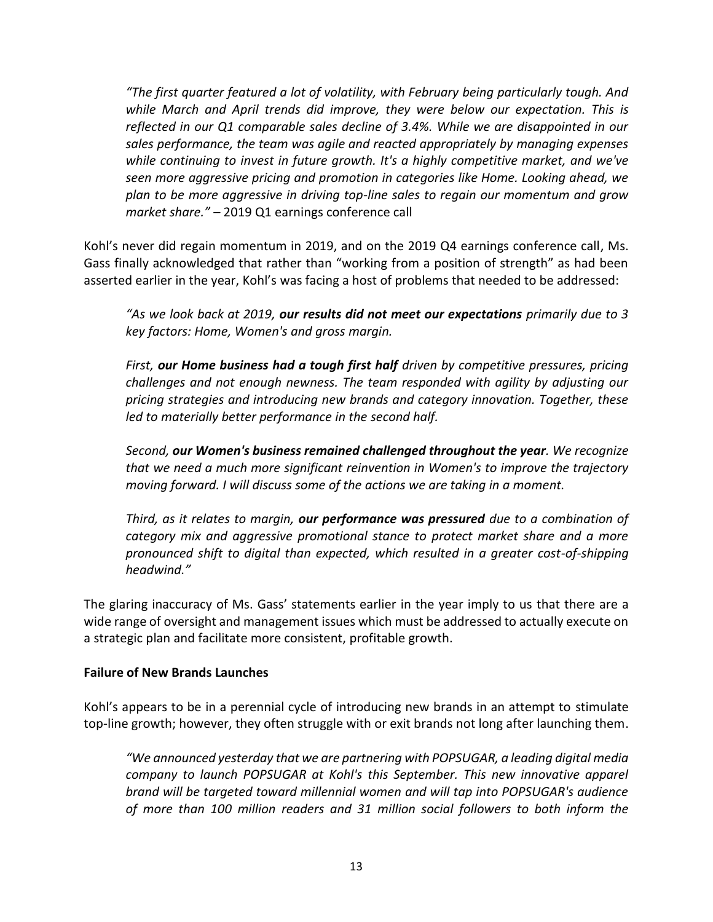*"The first quarter featured a lot of volatility, with February being particularly tough. And*  while March and April trends did improve, they were below our expectation. This is *reflected in our Q1 comparable sales decline of 3.4%. While we are disappointed in our sales performance, the team was agile and reacted appropriately by managing expenses while continuing to invest in future growth. It's a highly competitive market, and we've seen more aggressive pricing and promotion in categories like Home. Looking ahead, we plan to be more aggressive in driving top-line sales to regain our momentum and grow market share." –* 2019 Q1 earnings conference call

Kohl's never did regain momentum in 2019, and on the 2019 Q4 earnings conference call, Ms. Gass finally acknowledged that rather than "working from a position of strength" as had been asserted earlier in the year, Kohl's was facing a host of problems that needed to be addressed:

*"As we look back at 2019, our results did not meet our expectations primarily due to 3 key factors: Home, Women's and gross margin.*

*First, our Home business had a tough first half driven by competitive pressures, pricing challenges and not enough newness. The team responded with agility by adjusting our pricing strategies and introducing new brands and category innovation. Together, these led to materially better performance in the second half.*

*Second, our Women's business remained challenged throughout the year. We recognize that we need a much more significant reinvention in Women's to improve the trajectory moving forward. I will discuss some of the actions we are taking in a moment.*

*Third, as it relates to margin, our performance was pressured due to a combination of category mix and aggressive promotional stance to protect market share and a more pronounced shift to digital than expected, which resulted in a greater cost-of-shipping headwind."*

The glaring inaccuracy of Ms. Gass' statements earlier in the year imply to us that there are a wide range of oversight and management issues which must be addressed to actually execute on a strategic plan and facilitate more consistent, profitable growth.

## **Failure of New Brands Launches**

Kohl's appears to be in a perennial cycle of introducing new brands in an attempt to stimulate top-line growth; however, they often struggle with or exit brands not long after launching them.

*"We announced yesterday that we are partnering with POPSUGAR, a leading digital media company to launch POPSUGAR at Kohl's this September. This new innovative apparel brand will be targeted toward millennial women and will tap into POPSUGAR's audience of more than 100 million readers and 31 million social followers to both inform the*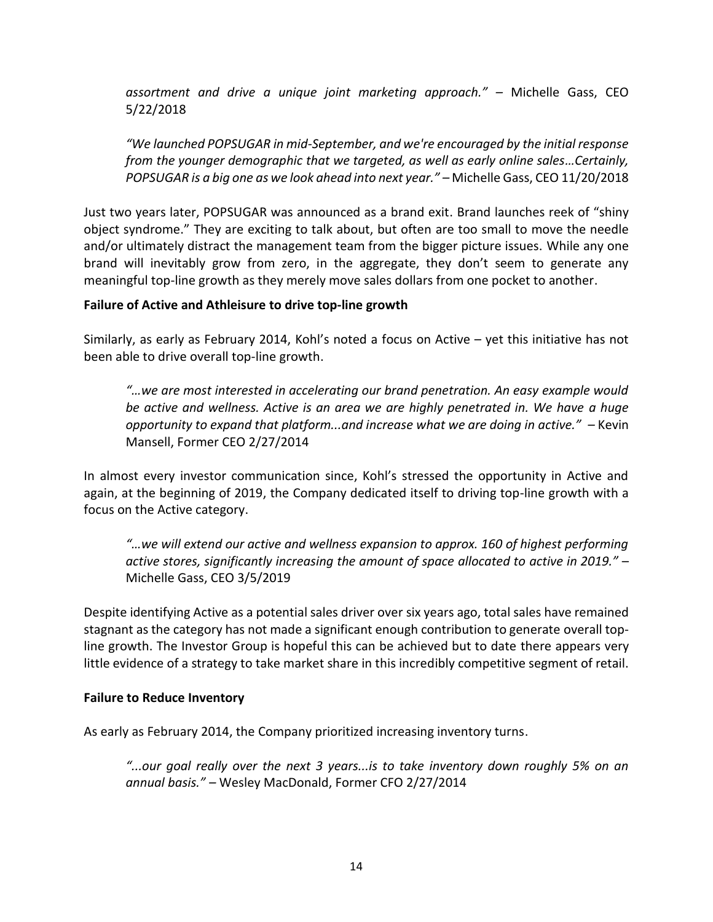*assortment and drive a unique joint marketing approach." –* Michelle Gass, CEO 5/22/2018

*"We launched POPSUGAR in mid-September, and we're encouraged by the initial response from the younger demographic that we targeted, as well as early online sales…Certainly, POPSUGAR is a big one as we look ahead into next year." –* Michelle Gass, CEO 11/20/2018

Just two years later, POPSUGAR was announced as a brand exit. Brand launches reek of "shiny object syndrome." They are exciting to talk about, but often are too small to move the needle and/or ultimately distract the management team from the bigger picture issues. While any one brand will inevitably grow from zero, in the aggregate, they don't seem to generate any meaningful top-line growth as they merely move sales dollars from one pocket to another.

### **Failure of Active and Athleisure to drive top-line growth**

Similarly, as early as February 2014, Kohl's noted a focus on Active – yet this initiative has not been able to drive overall top-line growth.

*"…we are most interested in accelerating our brand penetration. An easy example would be active and wellness. Active is an area we are highly penetrated in. We have a huge opportunity to expand that platform...and increase what we are doing in active." –* Kevin Mansell, Former CEO 2/27/2014

In almost every investor communication since, Kohl's stressed the opportunity in Active and again, at the beginning of 2019, the Company dedicated itself to driving top-line growth with a focus on the Active category.

*"…we will extend our active and wellness expansion to approx. 160 of highest performing active stores, significantly increasing the amount of space allocated to active in 2019."* – Michelle Gass, CEO 3/5/2019

Despite identifying Active as a potential sales driver over six years ago, total sales have remained stagnant as the category has not made a significant enough contribution to generate overall topline growth. The Investor Group is hopeful this can be achieved but to date there appears very little evidence of a strategy to take market share in this incredibly competitive segment of retail.

#### **Failure to Reduce Inventory**

As early as February 2014, the Company prioritized increasing inventory turns.

*"...our goal really over the next 3 years...is to take inventory down roughly 5% on an annual basis." –* Wesley MacDonald, Former CFO 2/27/2014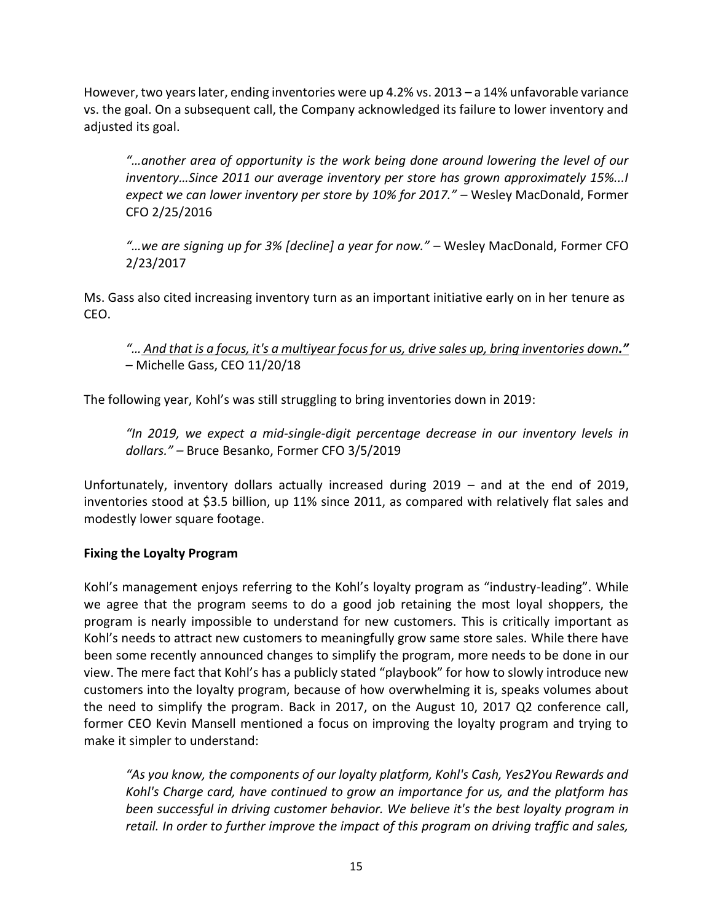However, two years later, ending inventories were up 4.2% vs. 2013 – a 14% unfavorable variance vs. the goal. On a subsequent call, the Company acknowledged its failure to lower inventory and adjusted its goal.

*"…another area of opportunity is the work being done around lowering the level of our inventory…Since 2011 our average inventory per store has grown approximately 15%...I expect we can lower inventory per store by 10% for 2017." –* Wesley MacDonald, Former CFO 2/25/2016

*"…we are signing up for 3% [decline] a year for now." –* Wesley MacDonald, Former CFO 2/23/2017

Ms. Gass also cited increasing inventory turn as an important initiative early on in her tenure as CEO.

*"… And that is a focus, it's a multiyear focus for us, drive sales up, bring inventories down."* – Michelle Gass, CEO 11/20/18

The following year, Kohl's was still struggling to bring inventories down in 2019:

*"In 2019, we expect a mid-single-digit percentage decrease in our inventory levels in dollars." –* Bruce Besanko, Former CFO 3/5/2019

Unfortunately, inventory dollars actually increased during 2019 – and at the end of 2019, inventories stood at \$3.5 billion, up 11% since 2011, as compared with relatively flat sales and modestly lower square footage.

## **Fixing the Loyalty Program**

Kohl's management enjoys referring to the Kohl's loyalty program as "industry-leading". While we agree that the program seems to do a good job retaining the most loyal shoppers, the program is nearly impossible to understand for new customers. This is critically important as Kohl's needs to attract new customers to meaningfully grow same store sales. While there have been some recently announced changes to simplify the program, more needs to be done in our view. The mere fact that Kohl's has a publicly stated "playbook" for how to slowly introduce new customers into the loyalty program, because of how overwhelming it is, speaks volumes about the need to simplify the program. Back in 2017, on the August 10, 2017 Q2 conference call, former CEO Kevin Mansell mentioned a focus on improving the loyalty program and trying to make it simpler to understand:

*"As you know, the components of our loyalty platform, Kohl's Cash, Yes2You Rewards and Kohl's Charge card, have continued to grow an importance for us, and the platform has been successful in driving customer behavior. We believe it's the best loyalty program in retail. In order to further improve the impact of this program on driving traffic and sales,*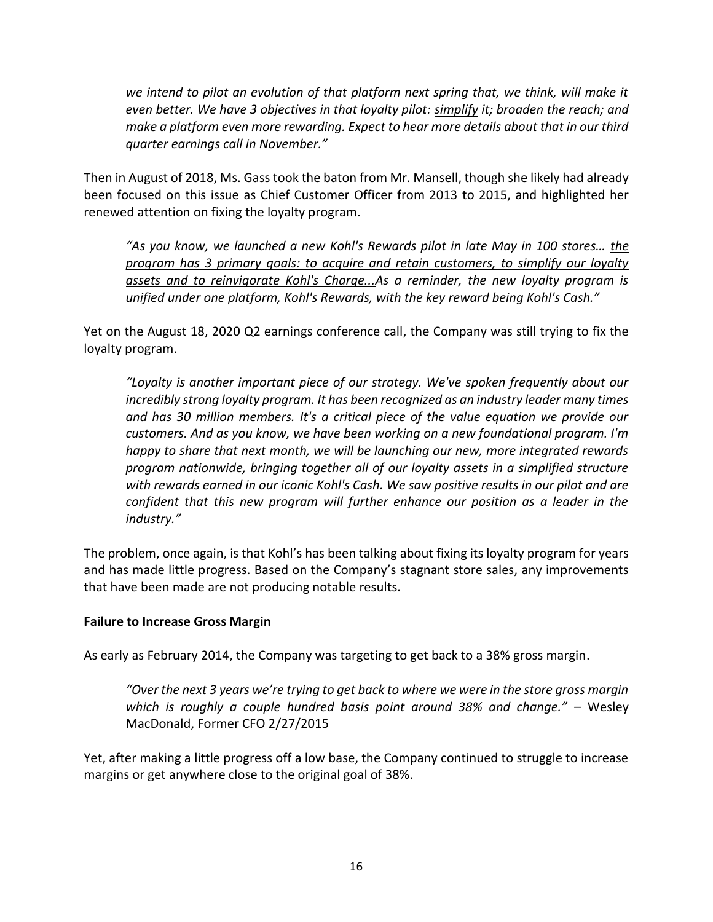*we intend to pilot an evolution of that platform next spring that, we think, will make it even better. We have 3 objectives in that loyalty pilot: simplify it; broaden the reach; and make a platform even more rewarding. Expect to hear more details about that in our third quarter earnings call in November."*

Then in August of 2018, Ms. Gass took the baton from Mr. Mansell, though she likely had already been focused on this issue as Chief Customer Officer from 2013 to 2015, and highlighted her renewed attention on fixing the loyalty program.

*"As you know, we launched a new Kohl's Rewards pilot in late May in 100 stores… the program has 3 primary goals: to acquire and retain customers, to simplify our loyalty assets and to reinvigorate Kohl's Charge...As a reminder, the new loyalty program is unified under one platform, Kohl's Rewards, with the key reward being Kohl's Cash."*

Yet on the August 18, 2020 Q2 earnings conference call, the Company was still trying to fix the loyalty program.

*"Loyalty is another important piece of our strategy. We've spoken frequently about our incredibly strong loyalty program. It has been recognized as an industry leader many times and has 30 million members. It's a critical piece of the value equation we provide our customers. And as you know, we have been working on a new foundational program. I'm happy to share that next month, we will be launching our new, more integrated rewards program nationwide, bringing together all of our loyalty assets in a simplified structure with rewards earned in our iconic Kohl's Cash. We saw positive results in our pilot and are confident that this new program will further enhance our position as a leader in the industry."*

The problem, once again, is that Kohl's has been talking about fixing its loyalty program for years and has made little progress. Based on the Company's stagnant store sales, any improvements that have been made are not producing notable results.

#### **Failure to Increase Gross Margin**

As early as February 2014, the Company was targeting to get back to a 38% gross margin.

*"Over the next 3 years we're trying to get back to where we were in the store gross margin which is roughly a couple hundred basis point around 38% and change."* – Wesley MacDonald, Former CFO 2/27/2015

Yet, after making a little progress off a low base, the Company continued to struggle to increase margins or get anywhere close to the original goal of 38%.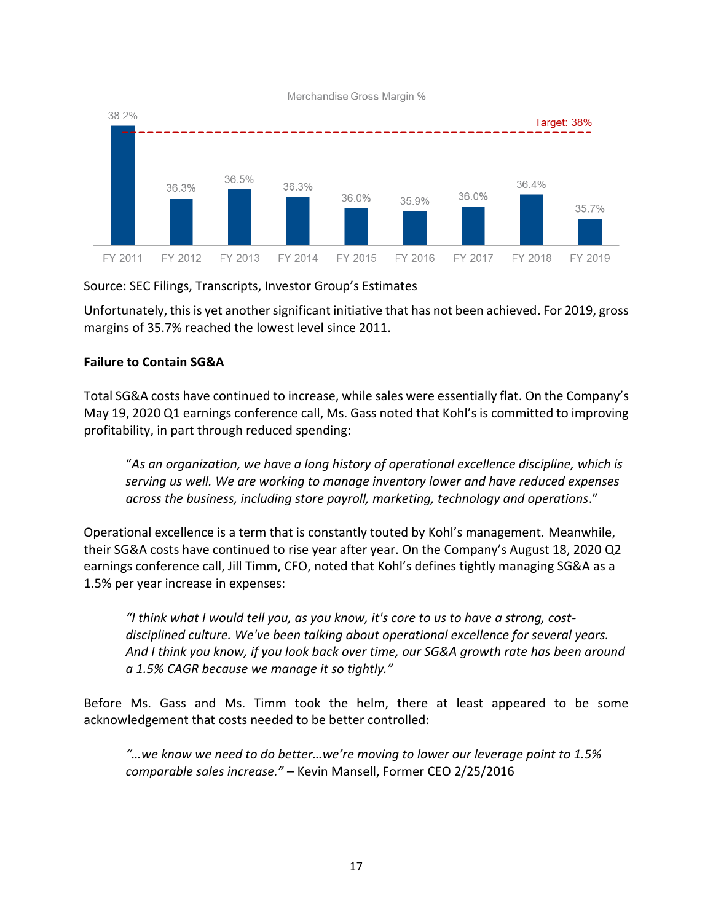

Source: SEC Filings, Transcripts, Investor Group's Estimates

Unfortunately, this is yet another significant initiative that has not been achieved. For 2019, gross margins of 35.7% reached the lowest level since 2011.

### **Failure to Contain SG&A**

Total SG&A costs have continued to increase, while sales were essentially flat. On the Company's May 19, 2020 Q1 earnings conference call, Ms. Gass noted that Kohl's is committed to improving profitability, in part through reduced spending:

"*As an organization, we have a long history of operational excellence discipline, which is serving us well. We are working to manage inventory lower and have reduced expenses across the business, including store payroll, marketing, technology and operations*."

Operational excellence is a term that is constantly touted by Kohl's management. Meanwhile, their SG&A costs have continued to rise year after year. On the Company's August 18, 2020 Q2 earnings conference call, Jill Timm, CFO, noted that Kohl's defines tightly managing SG&A as a 1.5% per year increase in expenses:

*"I think what I would tell you, as you know, it's core to us to have a strong, costdisciplined culture. We've been talking about operational excellence for several years. And I think you know, if you look back over time, our SG&A growth rate has been around a 1.5% CAGR because we manage it so tightly."*

Before Ms. Gass and Ms. Timm took the helm, there at least appeared to be some acknowledgement that costs needed to be better controlled:

*"…we know we need to do better…we're moving to lower our leverage point to 1.5% comparable sales increase." –* Kevin Mansell, Former CEO 2/25/2016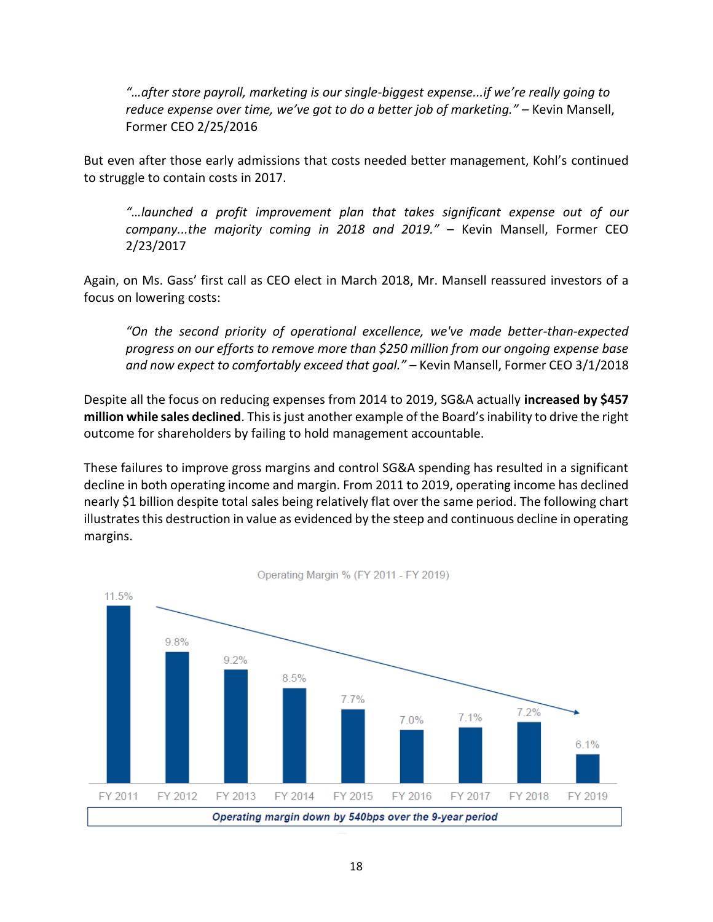*"…after store payroll, marketing is our single-biggest expense...if we're really going to reduce expense over time, we've got to do a better job of marketing." –* Kevin Mansell, Former CEO 2/25/2016

But even after those early admissions that costs needed better management, Kohl's continued to struggle to contain costs in 2017.

*"…launched a profit improvement plan that takes significant expense out of our company...the majority coming in 2018 and 2019."* – Kevin Mansell, Former CEO 2/23/2017

Again, on Ms. Gass' first call as CEO elect in March 2018, Mr. Mansell reassured investors of a focus on lowering costs:

*"On the second priority of operational excellence, we've made better-than-expected progress on our efforts to remove more than \$250 million from our ongoing expense base and now expect to comfortably exceed that goal."* – Kevin Mansell, Former CEO 3/1/2018

Despite all the focus on reducing expenses from 2014 to 2019, SG&A actually **increased by \$457 million while sales declined**. This is just another example of the Board's inability to drive the right outcome for shareholders by failing to hold management accountable.

These failures to improve gross margins and control SG&A spending has resulted in a significant decline in both operating income and margin. From 2011 to 2019, operating income has declined nearly \$1 billion despite total sales being relatively flat over the same period. The following chart illustrates this destruction in value as evidenced by the steep and continuous decline in operating margins.

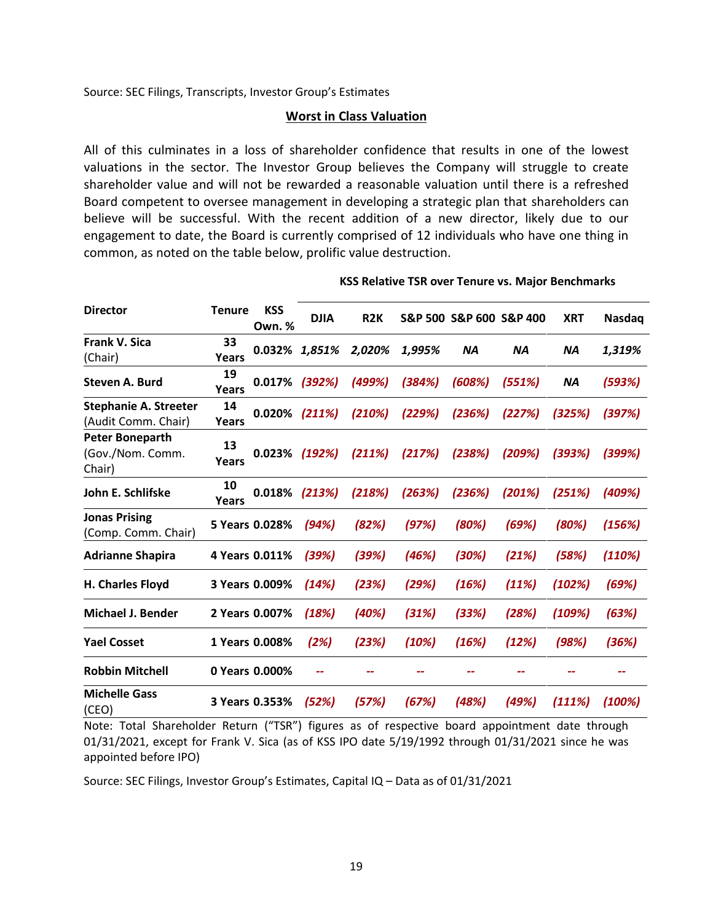Source: SEC Filings, Transcripts, Investor Group's Estimates

#### **Worst in Class Valuation**

All of this culminates in a loss of shareholder confidence that results in one of the lowest valuations in the sector. The Investor Group believes the Company will struggle to create shareholder value and will not be rewarded a reasonable valuation until there is a refreshed Board competent to oversee management in developing a strategic plan that shareholders can believe will be successful. With the recent addition of a new director, likely due to our engagement to date, the Board is currently comprised of 12 individuals who have one thing in common, as noted on the table below, prolific value destruction.

| <b>Director</b>                                      | <b>Tenure</b>      | <b>KSS</b><br><b>Own.</b> % | <b>DJIA</b> | R <sub>2</sub> K |        | S&P 500 S&P 600 S&P 400 |           | <b>XRT</b> | <b>Nasdaq</b> |
|------------------------------------------------------|--------------------|-----------------------------|-------------|------------------|--------|-------------------------|-----------|------------|---------------|
| <b>Frank V. Sica</b><br>(Chair)                      | 33<br>Years        | 0.032%                      | 1,851%      | 2,020%           | 1,995% | <b>NA</b>               | <b>NA</b> | <b>NA</b>  | 1,319%        |
| Steven A. Burd                                       | 19<br><b>Years</b> | 0.017%                      | (392%)      | (499%)           | (384%) | (608%)                  | (551%)    | <b>NA</b>  | (593%)        |
| <b>Stephanie A. Streeter</b><br>(Audit Comm. Chair)  | 14<br>Years        | 0.020%                      | (211%)      | (210%)           | (229%) | (236%)                  | (227%)    | (325%)     | (397%)        |
| <b>Peter Boneparth</b><br>(Gov./Nom. Comm.<br>Chair) | 13<br>Years        | 0.023%                      | (192%)      | (211%)           | (217%) | (238%)                  | (209%)    | (393%)     | (399%)        |
| John E. Schlifske                                    | 10<br>Years        | 0.018%                      | (213%)      | (218%)           | (263%) | (236%)                  | (201%)    | (251%)     | (409%)        |
| <b>Jonas Prising</b><br>(Comp. Comm. Chair)          |                    | 5 Years 0.028%              | (94%)       | (82%)            | (97%)  | (80%)                   | (69%)     | (80%)      | (156%)        |
| <b>Adrianne Shapira</b>                              |                    | 4 Years 0.011%              | (39%)       | (39%)            | (46%)  | (30%)                   | (21%)     | (58%)      | (110%)        |
| <b>H. Charles Floyd</b>                              |                    | 3 Years 0.009%              | (14%)       | (23%)            | (29%)  | (16%)                   | (11%)     | (102%)     | (69%)         |
| <b>Michael J. Bender</b>                             |                    | 2 Years 0.007%              | (18%)       | (40%)            | (31%)  | (33%)                   | (28%)     | (109%)     | (63%)         |
| <b>Yael Cosset</b>                                   |                    | 1 Years 0.008%              | (2%)        | (23%)            | (10%)  | (16%)                   | (12%)     | (98%)      | (36%)         |
| <b>Robbin Mitchell</b>                               |                    | 0 Years 0.000%              |             |                  |        |                         |           |            |               |
| <b>Michelle Gass</b><br>(CEO)                        |                    | 3 Years 0.353%              | (52%)       | (57%)            | (67%)  | (48%)                   | (49%)     | (111%)     | (100%)        |

#### **KSS Relative TSR over Tenure vs. Major Benchmarks**

Note: Total Shareholder Return ("TSR") figures as of respective board appointment date through 01/31/2021, except for Frank V. Sica (as of KSS IPO date 5/19/1992 through 01/31/2021 since he was appointed before IPO)

Source: SEC Filings, Investor Group's Estimates, Capital IQ – Data as of 01/31/2021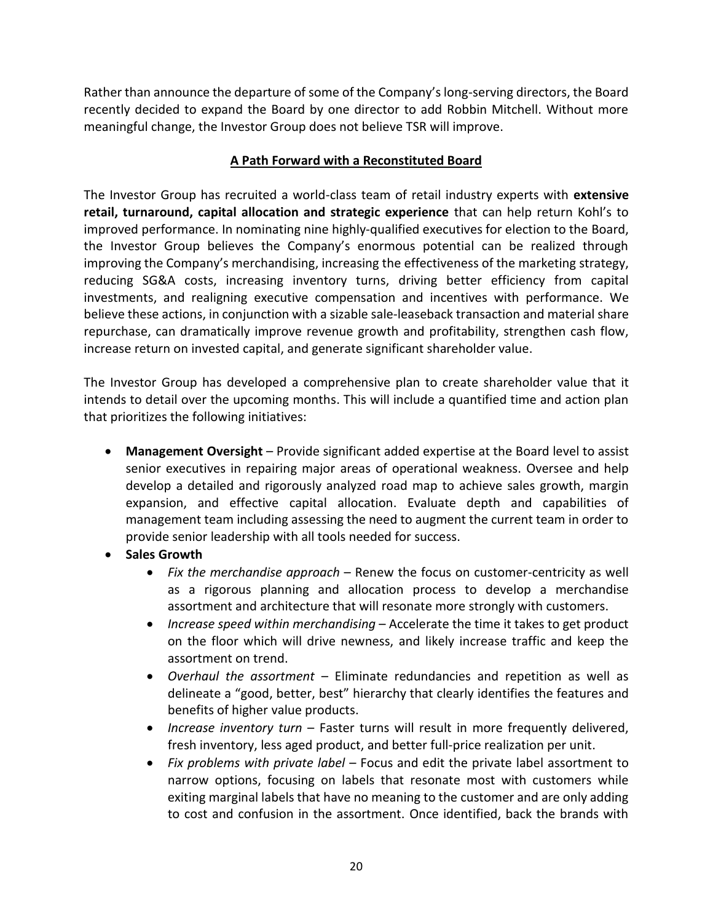Rather than announce the departure of some of the Company's long-serving directors, the Board recently decided to expand the Board by one director to add Robbin Mitchell. Without more meaningful change, the Investor Group does not believe TSR will improve.

## **A Path Forward with a Reconstituted Board**

The Investor Group has recruited a world-class team of retail industry experts with **extensive retail, turnaround, capital allocation and strategic experience** that can help return Kohl's to improved performance. In nominating nine highly-qualified executives for election to the Board, the Investor Group believes the Company's enormous potential can be realized through improving the Company's merchandising, increasing the effectiveness of the marketing strategy, reducing SG&A costs, increasing inventory turns, driving better efficiency from capital investments, and realigning executive compensation and incentives with performance. We believe these actions, in conjunction with a sizable sale-leaseback transaction and material share repurchase, can dramatically improve revenue growth and profitability, strengthen cash flow, increase return on invested capital, and generate significant shareholder value.

The Investor Group has developed a comprehensive plan to create shareholder value that it intends to detail over the upcoming months. This will include a quantified time and action plan that prioritizes the following initiatives:

- **Management Oversight** Provide significant added expertise at the Board level to assist senior executives in repairing major areas of operational weakness. Oversee and help develop a detailed and rigorously analyzed road map to achieve sales growth, margin expansion, and effective capital allocation. Evaluate depth and capabilities of management team including assessing the need to augment the current team in order to provide senior leadership with all tools needed for success.
- **Sales Growth** 
	- *Fix the merchandise approach* Renew the focus on customer-centricity as well as a rigorous planning and allocation process to develop a merchandise assortment and architecture that will resonate more strongly with customers.
	- *Increase speed within merchandising*  Accelerate the time it takes to get product on the floor which will drive newness, and likely increase traffic and keep the assortment on trend.
	- *Overhaul the assortment* Eliminate redundancies and repetition as well as delineate a "good, better, best" hierarchy that clearly identifies the features and benefits of higher value products.
	- *Increase inventory turn* Faster turns will result in more frequently delivered, fresh inventory, less aged product, and better full-price realization per unit.
	- *Fix problems with private label*  Focus and edit the private label assortment to narrow options, focusing on labels that resonate most with customers while exiting marginal labels that have no meaning to the customer and are only adding to cost and confusion in the assortment. Once identified, back the brands with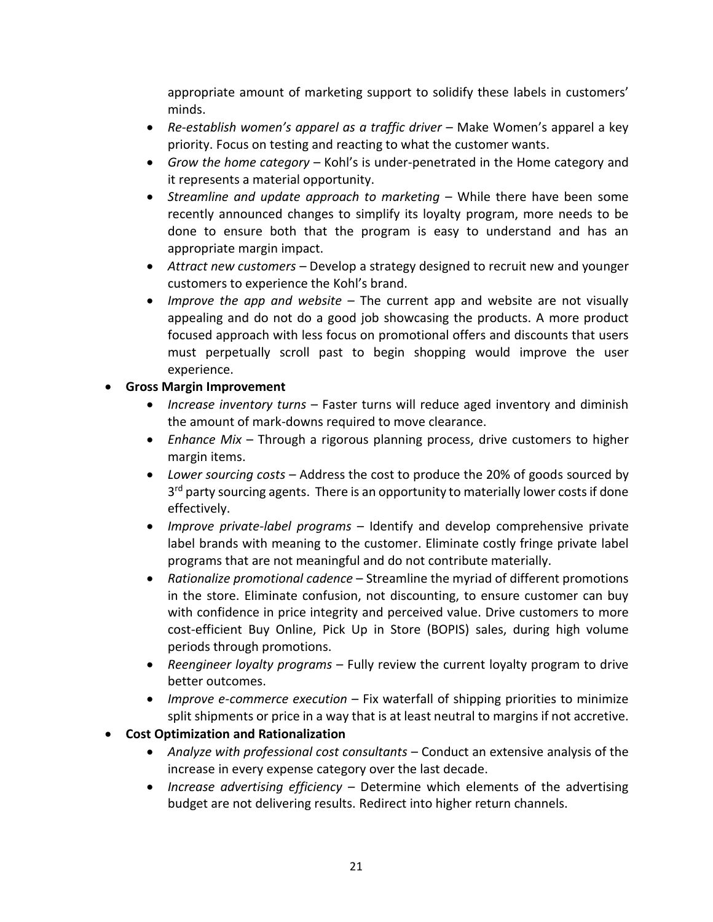appropriate amount of marketing support to solidify these labels in customers' minds.

- *Re-establish women's apparel as a traffic driver*  Make Women's apparel a key priority. Focus on testing and reacting to what the customer wants.
- *Grow the home category* Kohl's is under-penetrated in the Home category and it represents a material opportunity.
- *Streamline and update approach to marketing* While there have been some recently announced changes to simplify its loyalty program, more needs to be done to ensure both that the program is easy to understand and has an appropriate margin impact.
- *Attract new customers* Develop a strategy designed to recruit new and younger customers to experience the Kohl's brand.
- *Improve the app and website*  The current app and website are not visually appealing and do not do a good job showcasing the products. A more product focused approach with less focus on promotional offers and discounts that users must perpetually scroll past to begin shopping would improve the user experience.

## • **Gross Margin Improvement**

- *Increase inventory turns* Faster turns will reduce aged inventory and diminish the amount of mark-downs required to move clearance.
- *Enhance Mix* Through a rigorous planning process, drive customers to higher margin items.
- *Lower sourcing costs* Address the cost to produce the 20% of goods sourced by 3<sup>rd</sup> party sourcing agents. There is an opportunity to materially lower costs if done effectively.
- *Improve private-label programs* Identify and develop comprehensive private label brands with meaning to the customer. Eliminate costly fringe private label programs that are not meaningful and do not contribute materially.
- *Rationalize promotional cadence* Streamline the myriad of different promotions in the store. Eliminate confusion, not discounting, to ensure customer can buy with confidence in price integrity and perceived value. Drive customers to more cost-efficient Buy Online, Pick Up in Store (BOPIS) sales, during high volume periods through promotions.
- *Reengineer loyalty programs* Fully review the current loyalty program to drive better outcomes.
- *Improve e-commerce execution* Fix waterfall of shipping priorities to minimize split shipments or price in a way that is at least neutral to margins if not accretive.

# • **Cost Optimization and Rationalization**

- *Analyze with professional cost consultants* Conduct an extensive analysis of the increase in every expense category over the last decade.
- *Increase advertising efficiency* Determine which elements of the advertising budget are not delivering results. Redirect into higher return channels.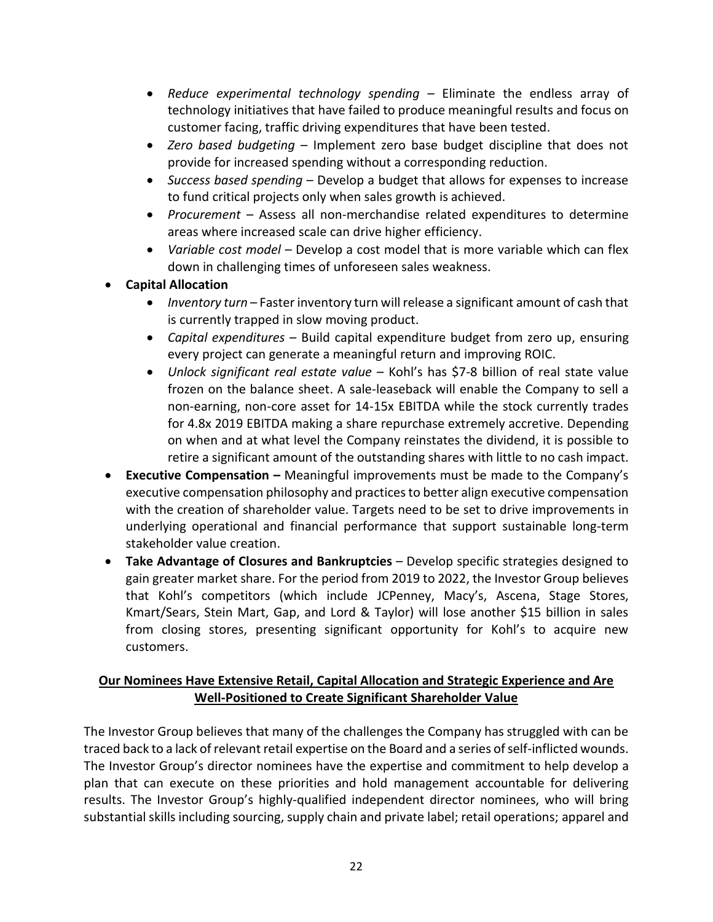- *Reduce experimental technology spending*  Eliminate the endless array of technology initiatives that have failed to produce meaningful results and focus on customer facing, traffic driving expenditures that have been tested.
- *Zero based budgeting* Implement zero base budget discipline that does not provide for increased spending without a corresponding reduction.
- *Success based spending* Develop a budget that allows for expenses to increase to fund critical projects only when sales growth is achieved.
- *Procurement* Assess all non-merchandise related expenditures to determine areas where increased scale can drive higher efficiency.
- *Variable cost model* Develop a cost model that is more variable which can flex down in challenging times of unforeseen sales weakness.
- **Capital Allocation**
	- *Inventory turn* Faster inventory turn will release a significant amount of cash that is currently trapped in slow moving product.
	- *Capital expenditures* Build capital expenditure budget from zero up, ensuring every project can generate a meaningful return and improving ROIC.
	- *Unlock significant real estate value* Kohl's has \$7-8 billion of real state value frozen on the balance sheet. A sale-leaseback will enable the Company to sell a non-earning, non-core asset for 14-15x EBITDA while the stock currently trades for 4.8x 2019 EBITDA making a share repurchase extremely accretive. Depending on when and at what level the Company reinstates the dividend, it is possible to retire a significant amount of the outstanding shares with little to no cash impact.
- **Executive Compensation –** Meaningful improvements must be made to the Company's executive compensation philosophy and practices to better align executive compensation with the creation of shareholder value. Targets need to be set to drive improvements in underlying operational and financial performance that support sustainable long-term stakeholder value creation.
- **Take Advantage of Closures and Bankruptcies** Develop specific strategies designed to gain greater market share. For the period from 2019 to 2022, the Investor Group believes that Kohl's competitors (which include JCPenney, Macy's, Ascena, Stage Stores, Kmart/Sears, Stein Mart, Gap, and Lord & Taylor) will lose another \$15 billion in sales from closing stores, presenting significant opportunity for Kohl's to acquire new customers.

## **Our Nominees Have Extensive Retail, Capital Allocation and Strategic Experience and Are Well-Positioned to Create Significant Shareholder Value**

The Investor Group believes that many of the challenges the Company has struggled with can be traced back to a lack of relevant retail expertise on the Board and a series of self-inflicted wounds. The Investor Group's director nominees have the expertise and commitment to help develop a plan that can execute on these priorities and hold management accountable for delivering results. The Investor Group's highly-qualified independent director nominees, who will bring substantial skills including sourcing, supply chain and private label; retail operations; apparel and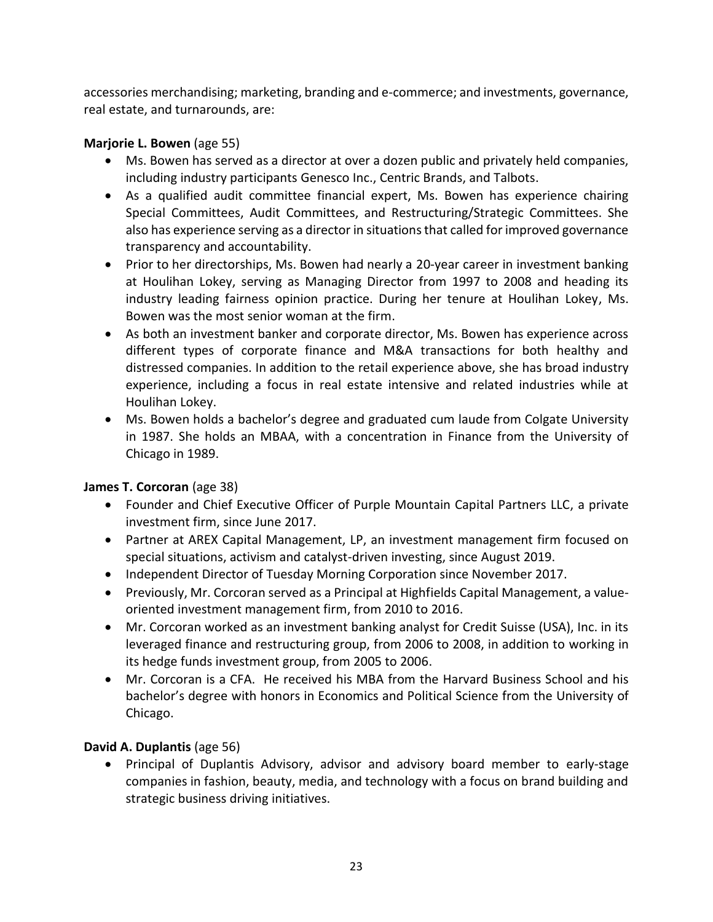accessories merchandising; marketing, branding and e-commerce; and investments, governance, real estate, and turnarounds, are:

## **Marjorie L. Bowen** (age 55)

- Ms. Bowen has served as a director at over a dozen public and privately held companies, including industry participants Genesco Inc., Centric Brands, and Talbots.
- As a qualified audit committee financial expert, Ms. Bowen has experience chairing Special Committees, Audit Committees, and Restructuring/Strategic Committees. She also has experience serving as a director in situations that called for improved governance transparency and accountability.
- Prior to her directorships, Ms. Bowen had nearly a 20-year career in investment banking at Houlihan Lokey, serving as Managing Director from 1997 to 2008 and heading its industry leading fairness opinion practice. During her tenure at Houlihan Lokey, Ms. Bowen was the most senior woman at the firm.
- As both an investment banker and corporate director, Ms. Bowen has experience across different types of corporate finance and M&A transactions for both healthy and distressed companies. In addition to the retail experience above, she has broad industry experience, including a focus in real estate intensive and related industries while at Houlihan Lokey.
- Ms. Bowen holds a bachelor's degree and graduated cum laude from Colgate University in 1987. She holds an MBAA, with a concentration in Finance from the University of Chicago in 1989.

# **James T. Corcoran** (age 38)

- Founder and Chief Executive Officer of Purple Mountain Capital Partners LLC, a private investment firm, since June 2017.
- Partner at AREX Capital Management, LP, an investment management firm focused on special situations, activism and catalyst-driven investing, since August 2019.
- Independent Director of Tuesday Morning Corporation since November 2017.
- Previously, Mr. Corcoran served as a Principal at Highfields Capital Management, a valueoriented investment management firm, from 2010 to 2016.
- Mr. Corcoran worked as an investment banking analyst for Credit Suisse (USA), Inc. in its leveraged finance and restructuring group, from 2006 to 2008, in addition to working in its hedge funds investment group, from 2005 to 2006.
- Mr. Corcoran is a CFA. He received his MBA from the Harvard Business School and his bachelor's degree with honors in Economics and Political Science from the University of Chicago.

# **David A. Duplantis** (age 56)

• Principal of Duplantis Advisory, advisor and advisory board member to early-stage companies in fashion, beauty, media, and technology with a focus on brand building and strategic business driving initiatives.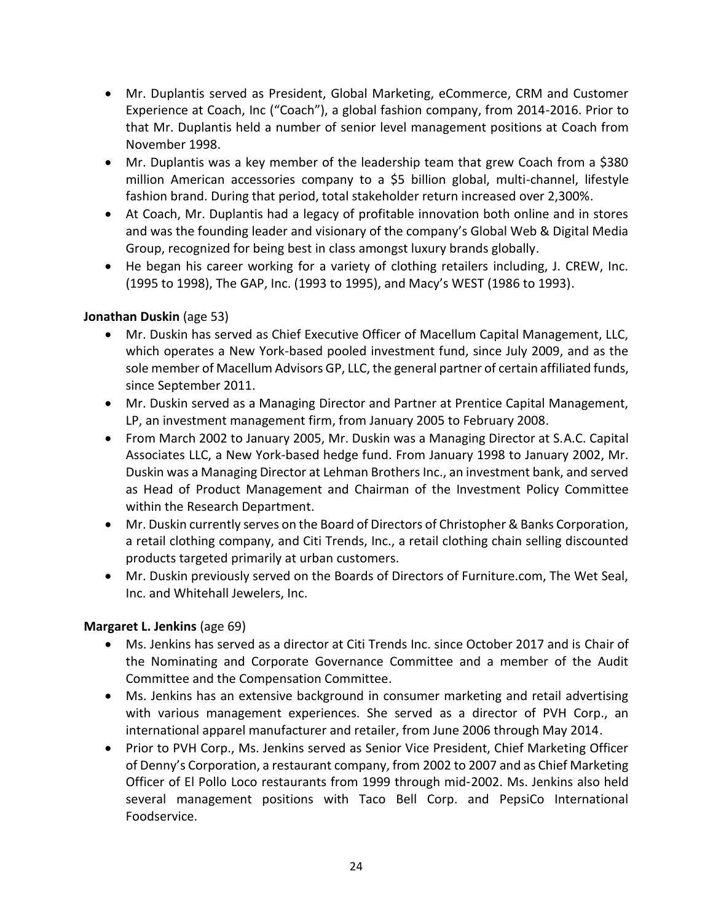- Mr. Duplantis served as President, Global Marketing, eCommerce, CRM and Customer Experience at Coach, Inc ("Coach"), a global fashion company, from 2014-2016. Prior to that Mr. Duplantis held a number of senior level management positions at Coach from November 1998.
- Mr. Duplantis was a key member of the leadership team that grew Coach from a \$380 million American accessories company to a \$5 billion global, multi-channel, lifestyle fashion brand. During that period, total stakeholder return increased over 2,300%.
- At Coach, Mr. Duplantis had a legacy of profitable innovation both online and in stores and was the founding leader and visionary of the company's Global Web & Digital Media Group, recognized for being best in class amongst luxury brands globally.
- He began his career working for a variety of clothing retailers including, J. CREW, Inc. (1995 to 1998), The GAP, Inc. (1993 to 1995), and Macy's WEST (1986 to 1993).

## **Jonathan Duskin** (age 53)

- Mr. Duskin has served as Chief Executive Officer of Macellum Capital Management, LLC, which operates a New York-based pooled investment fund, since July 2009, and as the sole member of Macellum Advisors GP, LLC, the general partner of certain affiliated funds, since September 2011.
- Mr. Duskin served as a Managing Director and Partner at Prentice Capital Management, LP, an investment management firm, from January 2005 to February 2008.
- From March 2002 to January 2005, Mr. Duskin was a Managing Director at S.A.C. Capital Associates LLC, a New York-based hedge fund. From January 1998 to January 2002, Mr. Duskin was a Managing Director at Lehman Brothers Inc., an investment bank, and served as Head of Product Management and Chairman of the Investment Policy Committee within the Research Department.
- Mr. Duskin currently serves on the Board of Directors of Christopher & Banks Corporation, a retail clothing company, and Citi Trends, Inc., a retail clothing chain selling discounted products targeted primarily at urban customers.
- Mr. Duskin previously served on the Boards of Directors of Furniture.com, The Wet Seal, Inc. and Whitehall Jewelers, Inc.

## **Margaret L. Jenkins** (age 69)

- Ms. Jenkins has served as a director at Citi Trends Inc. since October 2017 and is Chair of the Nominating and Corporate Governance Committee and a member of the Audit Committee and the Compensation Committee.
- Ms. Jenkins has an extensive background in consumer marketing and retail advertising with various management experiences. She served as a director of PVH Corp., an international apparel manufacturer and retailer, from June 2006 through May 2014.
- Prior to PVH Corp., Ms. Jenkins served as Senior Vice President, Chief Marketing Officer of Denny's Corporation, a restaurant company, from 2002 to 2007 and as Chief Marketing Officer of El Pollo Loco restaurants from 1999 through mid‑2002. Ms. Jenkins also held several management positions with Taco Bell Corp. and PepsiCo International Foodservice.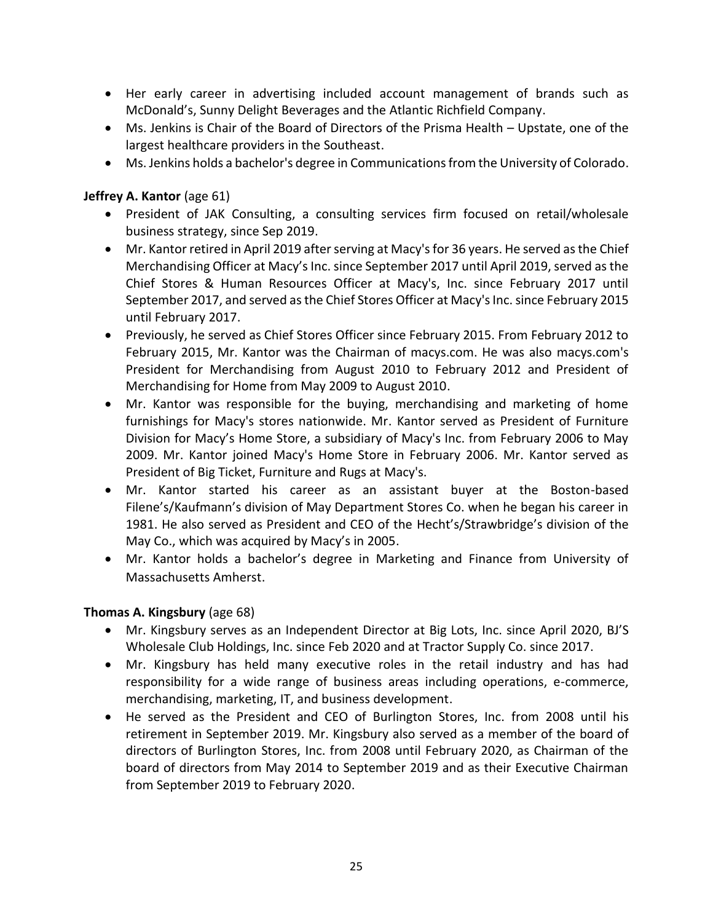- Her early career in advertising included account management of brands such as McDonald's, Sunny Delight Beverages and the Atlantic Richfield Company.
- Ms. Jenkins is Chair of the Board of Directors of the Prisma Health Upstate, one of the largest healthcare providers in the Southeast.
- Ms. Jenkins holds a bachelor's degree in Communications from the University of Colorado.

## **Jeffrey A. Kantor** (age 61)

- President of JAK Consulting, a consulting services firm focused on retail/wholesale business strategy, since Sep 2019.
- Mr. Kantor retired in April 2019 after serving at Macy's for 36 years. He served as the Chief Merchandising Officer at Macy's Inc. since September 2017 until April 2019, served as the Chief Stores & Human Resources Officer at Macy's, Inc. since February 2017 until September 2017, and served as the Chief Stores Officer at Macy's Inc. since February 2015 until February 2017.
- Previously, he served as Chief Stores Officer since February 2015. From February 2012 to February 2015, Mr. Kantor was the Chairman of macys.com. He was also macys.com's President for Merchandising from August 2010 to February 2012 and President of Merchandising for Home from May 2009 to August 2010.
- Mr. Kantor was responsible for the buying, merchandising and marketing of home furnishings for Macy's stores nationwide. Mr. Kantor served as President of Furniture Division for Macy's Home Store, a subsidiary of Macy's Inc. from February 2006 to May 2009. Mr. Kantor joined Macy's Home Store in February 2006. Mr. Kantor served as President of Big Ticket, Furniture and Rugs at Macy's.
- Mr. Kantor started his career as an assistant buyer at the Boston-based Filene's/Kaufmann's division of May Department Stores Co. when he began his career in 1981. He also served as President and CEO of the Hecht's/Strawbridge's division of the May Co., which was acquired by Macy's in 2005.
- Mr. Kantor holds a bachelor's degree in Marketing and Finance from University of Massachusetts Amherst.

## **Thomas A. Kingsbury** (age 68)

- Mr. Kingsbury serves as an Independent Director at Big Lots, Inc. since April 2020, BJ'S Wholesale Club Holdings, Inc. since Feb 2020 and at Tractor Supply Co. since 2017.
- Mr. Kingsbury has held many executive roles in the retail industry and has had responsibility for a wide range of business areas including operations, e-commerce, merchandising, marketing, IT, and business development.
- He served as the President and CEO of Burlington Stores, Inc. from 2008 until his retirement in September 2019. Mr. Kingsbury also served as a member of the board of directors of Burlington Stores, Inc. from 2008 until February 2020, as Chairman of the board of directors from May 2014 to September 2019 and as their Executive Chairman from September 2019 to February 2020.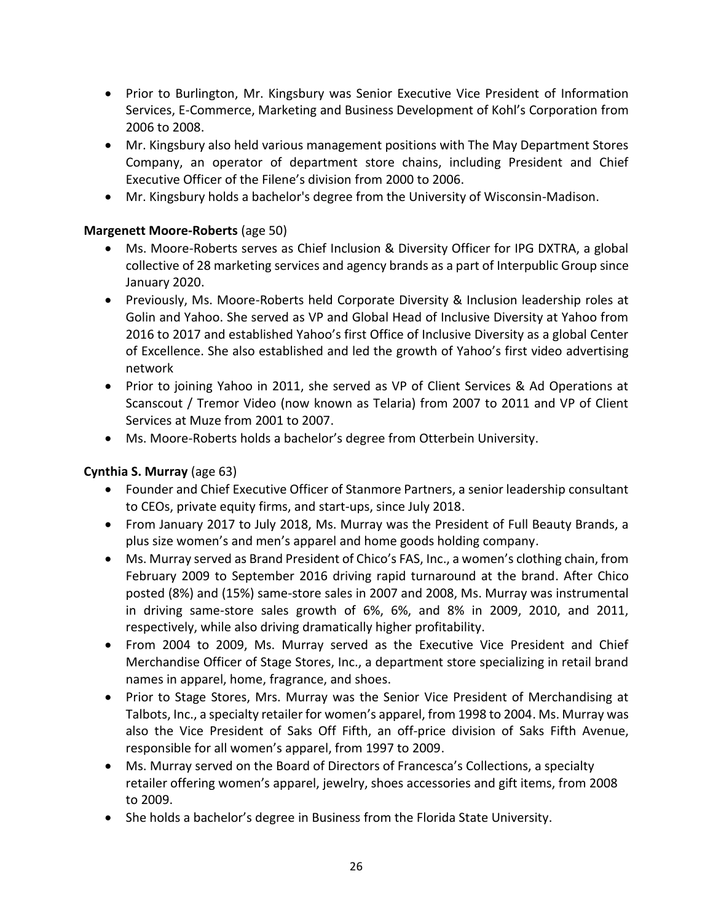- Prior to Burlington, Mr. Kingsbury was Senior Executive Vice President of Information Services, E-Commerce, Marketing and Business Development of Kohl's Corporation from 2006 to 2008.
- Mr. Kingsbury also held various management positions with The May Department Stores Company, an operator of department store chains, including President and Chief Executive Officer of the Filene's division from 2000 to 2006.
- Mr. Kingsbury holds a bachelor's degree from the University of Wisconsin-Madison.

## **Margenett Moore-Roberts** (age 50)

- Ms. Moore-Roberts serves as Chief Inclusion & Diversity Officer for IPG DXTRA, a global collective of 28 marketing services and agency brands as a part of Interpublic Group since January 2020.
- Previously, Ms. Moore-Roberts held Corporate Diversity & Inclusion leadership roles at Golin and Yahoo. She served as VP and Global Head of Inclusive Diversity at Yahoo from 2016 to 2017 and established Yahoo's first Office of Inclusive Diversity as a global Center of Excellence. She also established and led the growth of Yahoo's first video advertising network
- Prior to joining Yahoo in 2011, she served as VP of Client Services & Ad Operations at Scanscout / Tremor Video (now known as Telaria) from 2007 to 2011 and VP of Client Services at Muze from 2001 to 2007.
- Ms. Moore-Roberts holds a bachelor's degree from Otterbein University.

## **Cynthia S. Murray** (age 63)

- Founder and Chief Executive Officer of Stanmore Partners, a senior leadership consultant to CEOs, private equity firms, and start‐ups, since July 2018.
- From January 2017 to July 2018, Ms. Murray was the President of Full Beauty Brands, a plus size women's and men's apparel and home goods holding company.
- Ms. Murray served as Brand President of Chico's FAS, Inc., a women's clothing chain, from February 2009 to September 2016 driving rapid turnaround at the brand. After Chico posted (8%) and (15%) same-store sales in 2007 and 2008, Ms. Murray was instrumental in driving same-store sales growth of 6%, 6%, and 8% in 2009, 2010, and 2011, respectively, while also driving dramatically higher profitability.
- From 2004 to 2009, Ms. Murray served as the Executive Vice President and Chief Merchandise Officer of Stage Stores, Inc., a department store specializing in retail brand names in apparel, home, fragrance, and shoes.
- Prior to Stage Stores, Mrs. Murray was the Senior Vice President of Merchandising at Talbots, Inc., a specialty retailer for women's apparel, from 1998 to 2004. Ms. Murray was also the Vice President of Saks Off Fifth, an off‐price division of Saks Fifth Avenue, responsible for all women's apparel, from 1997 to 2009.
- Ms. Murray served on the Board of Directors of Francesca's Collections, a specialty retailer offering women's apparel, jewelry, shoes accessories and gift items, from 2008 to 2009.
- She holds a bachelor's degree in Business from the Florida State University.